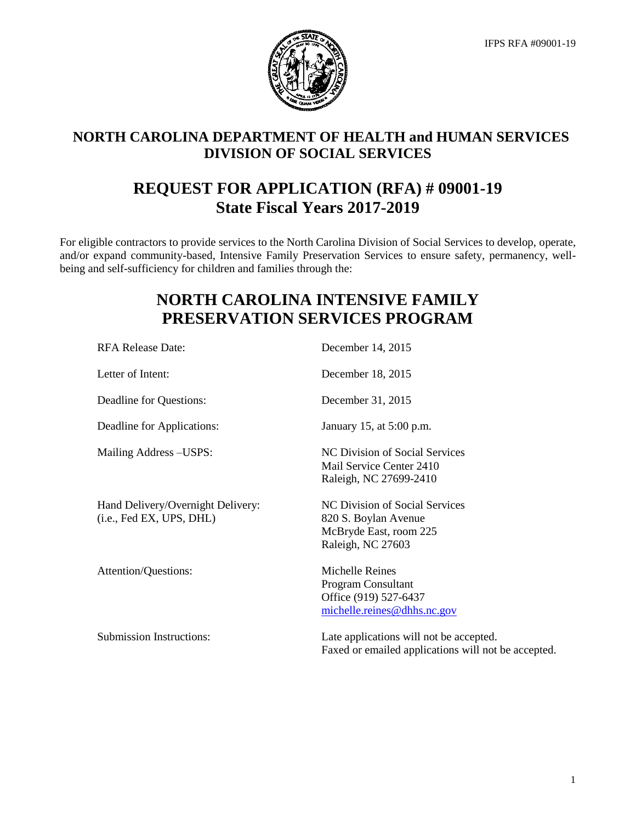

# **NORTH CAROLINA DEPARTMENT OF HEALTH and HUMAN SERVICES DIVISION OF SOCIAL SERVICES**

# **REQUEST FOR APPLICATION (RFA) # 09001-19 State Fiscal Years 2017-2019**

For eligible contractors to provide services to the North Carolina Division of Social Services to develop, operate, and/or expand community-based, Intensive Family Preservation Services to ensure safety, permanency, wellbeing and self-sufficiency for children and families through the:

# **NORTH CAROLINA INTENSIVE FAMILY PRESERVATION SERVICES PROGRAM**

| <b>RFA Release Date:</b>                                      | December 14, 2015                                                                                     |
|---------------------------------------------------------------|-------------------------------------------------------------------------------------------------------|
| Letter of Intent:                                             | December 18, 2015                                                                                     |
| Deadline for Questions:                                       | December 31, 2015                                                                                     |
| Deadline for Applications:                                    | January 15, at 5:00 p.m.                                                                              |
| Mailing Address – USPS:                                       | NC Division of Social Services<br>Mail Service Center 2410<br>Raleigh, NC 27699-2410                  |
| Hand Delivery/Overnight Delivery:<br>(i.e., Fed EX, UPS, DHL) | NC Division of Social Services<br>820 S. Boylan Avenue<br>McBryde East, room 225<br>Raleigh, NC 27603 |
| Attention/Questions:                                          | Michelle Reines<br>Program Consultant<br>Office (919) 527-6437<br>michelle.reines@dhhs.nc.gov         |
| <b>Submission Instructions:</b>                               | Late applications will not be accepted.<br>Faxed or emailed applications will not be accepted.        |

1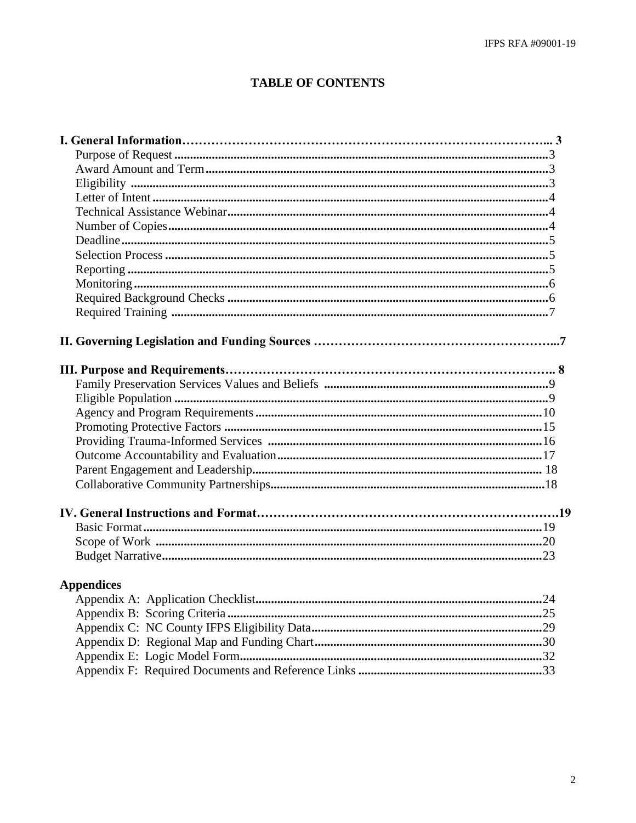# **TABLE OF CONTENTS**

| <b>Appendices</b> |
|-------------------|
|                   |
|                   |
|                   |
|                   |
|                   |
|                   |
|                   |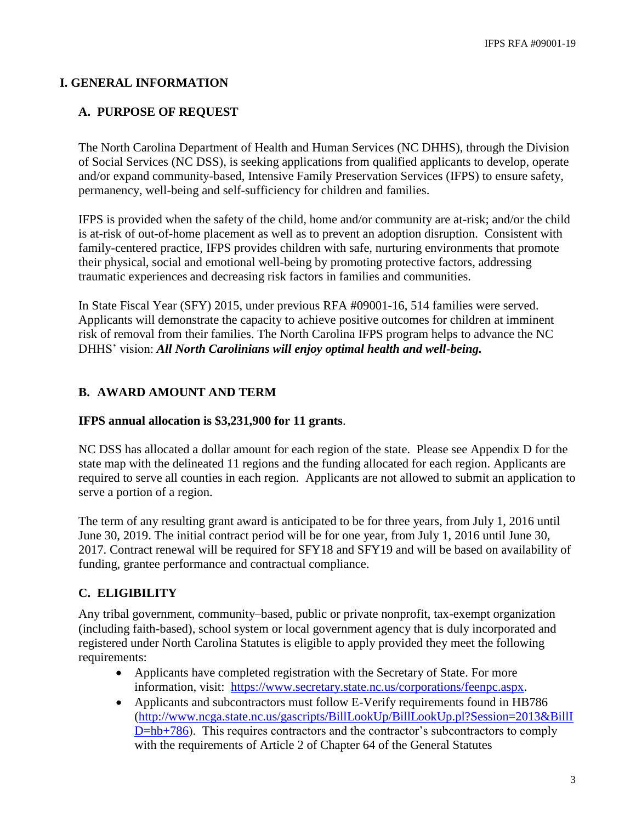## **I. GENERAL INFORMATION**

## **A. PURPOSE OF REQUEST**

The North Carolina Department of Health and Human Services (NC DHHS), through the Division of Social Services (NC DSS), is seeking applications from qualified applicants to develop, operate and/or expand community-based, Intensive Family Preservation Services (IFPS) to ensure safety, permanency, well-being and self-sufficiency for children and families.

IFPS is provided when the safety of the child, home and/or community are at-risk; and/or the child is at-risk of out-of-home placement as well as to prevent an adoption disruption. Consistent with family-centered practice, IFPS provides children with safe, nurturing environments that promote their physical, social and emotional well-being by promoting protective factors, addressing traumatic experiences and decreasing risk factors in families and communities.

In State Fiscal Year (SFY) 2015, under previous RFA #09001-16, 514 families were served. Applicants will demonstrate the capacity to achieve positive outcomes for children at imminent risk of removal from their families. The North Carolina IFPS program helps to advance the NC DHHS' vision: *All North Carolinians will enjoy optimal health and well-being.*

## **B. AWARD AMOUNT AND TERM**

#### **IFPS annual allocation is \$3,231,900 for 11 grants**.

NC DSS has allocated a dollar amount for each region of the state. Please see Appendix D for the state map with the delineated 11 regions and the funding allocated for each region. Applicants are required to serve all counties in each region. Applicants are not allowed to submit an application to serve a portion of a region.

The term of any resulting grant award is anticipated to be for three years, from July 1, 2016 until June 30, 2019. The initial contract period will be for one year, from July 1, 2016 until June 30, 2017. Contract renewal will be required for SFY18 and SFY19 and will be based on availability of funding, grantee performance and contractual compliance.

## **C. ELIGIBILITY**

Any tribal government, community–based, public or private nonprofit, tax-exempt organization (including faith-based), school system or local government agency that is duly incorporated and registered under North Carolina Statutes is eligible to apply provided they meet the following requirements:

- Applicants have completed registration with the Secretary of State. For more information, visit: [https://www.secretary.state.nc.us/corporations/feenpc.aspx.](https://www.secretary.state.nc.us/corporations/feenpc.aspx)
- Applicants and subcontractors must follow E-Verify requirements found in HB786 [\(http://www.ncga.state.nc.us/gascripts/BillLookUp/BillLookUp.pl?Session=2013&BillI](http://www.ncga.state.nc.us/gascripts/BillLookUp/BillLookUp.pl?Session=2013&BillID=hb+786) [D=hb+786\)](http://www.ncga.state.nc.us/gascripts/BillLookUp/BillLookUp.pl?Session=2013&BillID=hb+786). This requires contractors and the contractor's subcontractors to comply with the requirements of Article 2 of Chapter 64 of the General Statutes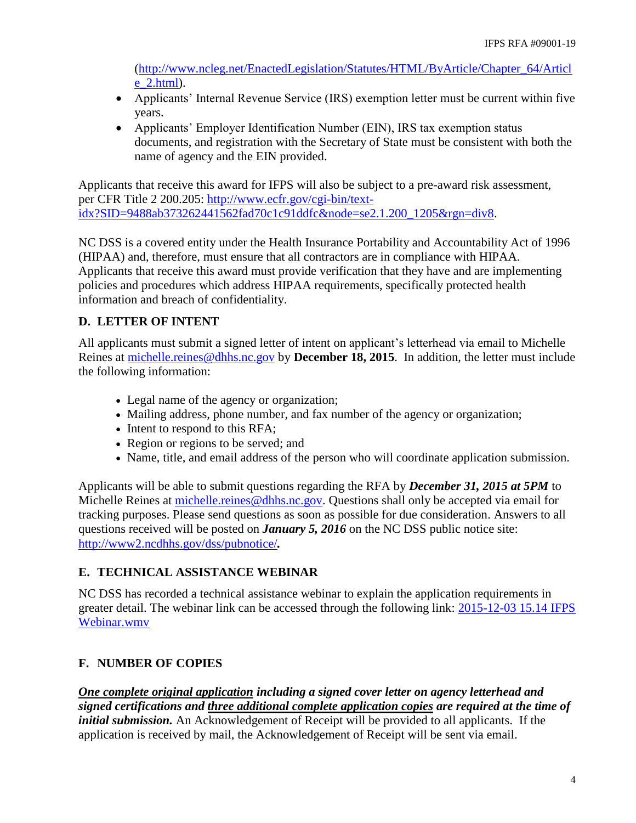[\(http://www.ncleg.net/EnactedLegislation/Statutes/HTML/ByArticle/Chapter\\_64/Articl](http://www.ncleg.net/EnactedLegislation/Statutes/HTML/ByArticle/Chapter_64/Article_2.html) [e\\_2.html\)](http://www.ncleg.net/EnactedLegislation/Statutes/HTML/ByArticle/Chapter_64/Article_2.html).

- Applicants' Internal Revenue Service (IRS) exemption letter must be current within five years.
- Applicants' Employer Identification Number (EIN), IRS tax exemption status documents, and registration with the Secretary of State must be consistent with both the name of agency and the EIN provided.

Applicants that receive this award for IFPS will also be subject to a pre-award risk assessment, per CFR Title 2 200.205: [http://www.ecfr.gov/cgi-bin/text](http://www.ecfr.gov/cgi-bin/text-idx?SID=9488ab373262441562fad70c1c91ddfc&node=se2.1.200_1205&rgn=div8)[idx?SID=9488ab373262441562fad70c1c91ddfc&node=se2.1.200\\_1205&rgn=div8.](http://www.ecfr.gov/cgi-bin/text-idx?SID=9488ab373262441562fad70c1c91ddfc&node=se2.1.200_1205&rgn=div8)

NC DSS is a covered entity under the Health Insurance Portability and Accountability Act of 1996 (HIPAA) and, therefore, must ensure that all contractors are in compliance with HIPAA. Applicants that receive this award must provide verification that they have and are implementing policies and procedures which address HIPAA requirements, specifically protected health information and breach of confidentiality.

## **D. LETTER OF INTENT**

All applicants must submit a signed letter of intent on applicant's letterhead via email to Michelle Reines at [michelle.reines@dhhs.nc.gov](mailto:michelle.reines@dhhs.nc.gov) by **December 18, 2015**. In addition, the letter must include the following information:

- Legal name of the agency or organization;
- Mailing address, phone number, and fax number of the agency or organization;
- Intent to respond to this RFA;
- Region or regions to be served; and
- Name, title, and email address of the person who will coordinate application submission.

Applicants will be able to submit questions regarding the RFA by *December 31, 2015 at 5PM* to Michelle Reines at [michelle.reines@dhhs.nc.gov.](mailto:michelle.reines@dhhs.nc.gov) Questions shall only be accepted via email for tracking purposes. Please send questions as soon as possible for due consideration. Answers to all questions received will be posted on *January 5, 2016* on the NC DSS public notice site: <http://www2.ncdhhs.gov/dss/pubnotice/>*.*

## **E. TECHNICAL ASSISTANCE WEBINAR**

NC DSS has recorded a technical assistance webinar to explain the application requirements in greater detail. The webinar link can be accessed through the following link: [2015-12-03 15.14 IFPS](2015-12-03%2015.14%20IFPS%20Webinar.wmv)  [Webinar.wmv](2015-12-03%2015.14%20IFPS%20Webinar.wmv)

## **F. NUMBER OF COPIES**

*One complete original application including a signed cover letter on agency letterhead and signed certifications and three additional complete application copies are required at the time of initial submission*. An Acknowledgement of Receipt will be provided to all applicants. If the application is received by mail, the Acknowledgement of Receipt will be sent via email.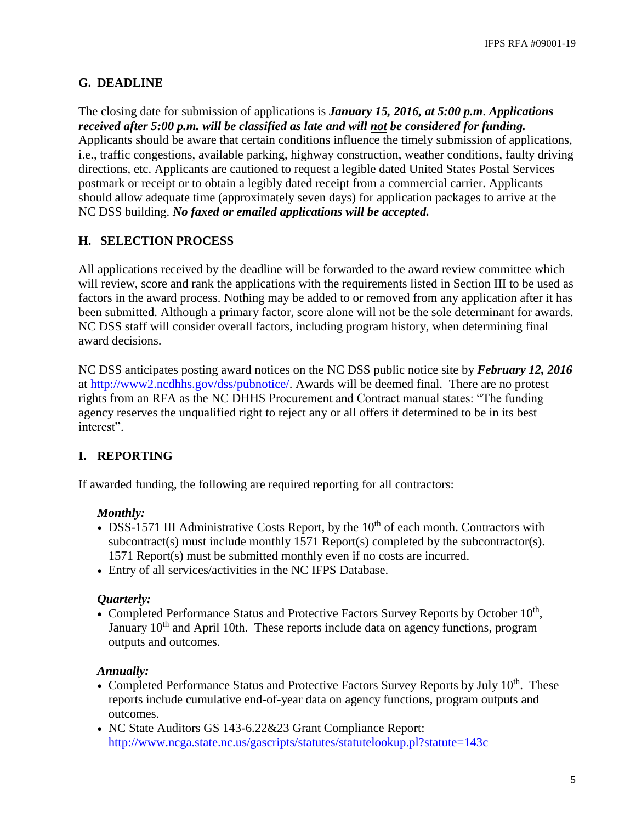## **G. DEADLINE**

The closing date for submission of applications is *January 15, 2016, at 5:00 p.m. Applications received after 5:00 p.m. will be classified as late and will not be considered for funding.* Applicants should be aware that certain conditions influence the timely submission of applications, i.e., traffic congestions, available parking, highway construction, weather conditions, faulty driving directions, etc. Applicants are cautioned to request a legible dated United States Postal Services postmark or receipt or to obtain a legibly dated receipt from a commercial carrier. Applicants should allow adequate time (approximately seven days) for application packages to arrive at the NC DSS building. *No faxed or emailed applications will be accepted.*

## **H. SELECTION PROCESS**

All applications received by the deadline will be forwarded to the award review committee which will review, score and rank the applications with the requirements listed in Section III to be used as factors in the award process. Nothing may be added to or removed from any application after it has been submitted. Although a primary factor, score alone will not be the sole determinant for awards. NC DSS staff will consider overall factors, including program history, when determining final award decisions.

NC DSS anticipates posting award notices on the NC DSS public notice site by *February 12, 2016* at [http://www2.ncdhhs.gov/dss/pubnotice/.](http://www.ncdhhs.gov/dss/pubnotice/) Awards will be deemed final. There are no protest rights from an RFA as the NC DHHS Procurement and Contract manual states: "The funding agency reserves the unqualified right to reject any or all offers if determined to be in its best interest".

## **I. REPORTING**

If awarded funding, the following are required reporting for all contractors:

## *Monthly:*

- $\bullet$  DSS-1571 III Administrative Costs Report, by the 10<sup>th</sup> of each month. Contractors with subcontract(s) must include monthly 1571 Report(s) completed by the subcontractor(s). 1571 Report(s) must be submitted monthly even if no costs are incurred.
- Entry of all services/activities in the NC IFPS Database.

## *Quarterly:*

• Completed Performance Status and Protective Factors Survey Reports by October  $10<sup>th</sup>$ , January  $10<sup>th</sup>$  and April 10th. These reports include data on agency functions, program outputs and outcomes.

## *Annually:*

- Completed Performance Status and Protective Factors Survey Reports by July  $10^{th}$ . These reports include cumulative end-of-year data on agency functions, program outputs and outcomes.
- NC State Auditors GS 143-6.22&23 Grant Compliance Report: <http://www.ncga.state.nc.us/gascripts/statutes/statutelookup.pl?statute=143c>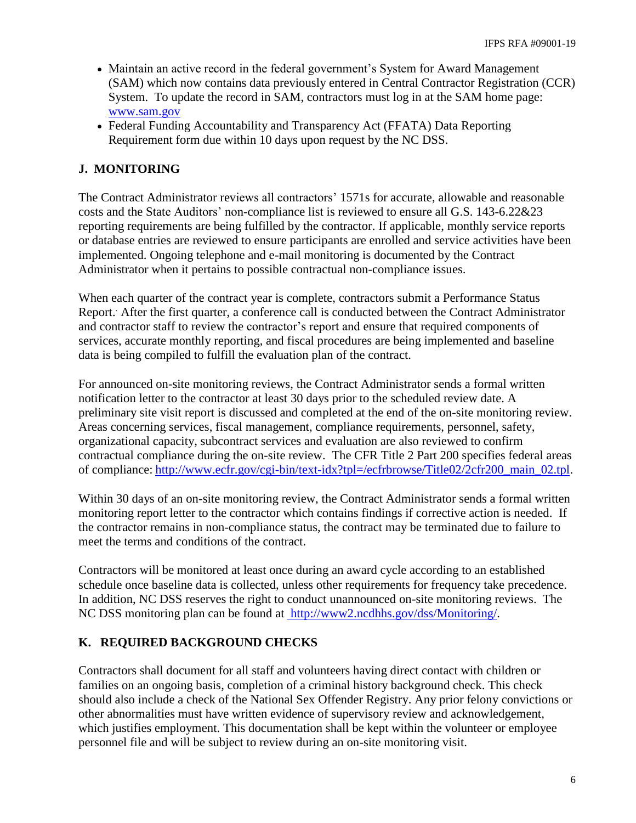- Maintain an active record in the federal government's System for Award Management (SAM) which now contains data previously entered in Central Contractor Registration (CCR) System. To update the record in SAM, contractors must log in at the SAM home page: <www.sam.gov>
- Federal Funding Accountability and Transparency Act (FFATA) Data Reporting Requirement form due within 10 days upon request by the NC DSS.

## **J. MONITORING**

The Contract Administrator reviews all contractors' 1571s for accurate, allowable and reasonable costs and the State Auditors' non-compliance list is reviewed to ensure all G.S. 143-6.22&23 reporting requirements are being fulfilled by the contractor. If applicable, monthly service reports or database entries are reviewed to ensure participants are enrolled and service activities have been implemented. Ongoing telephone and e-mail monitoring is documented by the Contract Administrator when it pertains to possible contractual non-compliance issues.

When each quarter of the contract year is complete, contractors submit a Performance Status Report.. After the first quarter, a conference call is conducted between the Contract Administrator and contractor staff to review the contractor's report and ensure that required components of services, accurate monthly reporting, and fiscal procedures are being implemented and baseline data is being compiled to fulfill the evaluation plan of the contract.

For announced on-site monitoring reviews, the Contract Administrator sends a formal written notification letter to the contractor at least 30 days prior to the scheduled review date. A preliminary site visit report is discussed and completed at the end of the on-site monitoring review. Areas concerning services, fiscal management, compliance requirements, personnel, safety, organizational capacity, subcontract services and evaluation are also reviewed to confirm contractual compliance during the on-site review. The CFR Title 2 Part 200 specifies federal areas of compliance: [http://www.ecfr.gov/cgi-bin/text-idx?tpl=/ecfrbrowse/Title02/2cfr200\\_main\\_02.tpl.](http://www.ecfr.gov/cgi-bin/text-idx?tpl=/ecfrbrowse/Title02/2cfr200_main_02.tpl)

Within 30 days of an on-site monitoring review, the Contract Administrator sends a formal written monitoring report letter to the contractor which contains findings if corrective action is needed. If the contractor remains in non-compliance status, the contract may be terminated due to failure to meet the terms and conditions of the contract.

Contractors will be monitored at least once during an award cycle according to an established schedule once baseline data is collected, unless other requirements for frequency take precedence. In addition, NC DSS reserves the right to conduct unannounced on-site monitoring reviews. The NC DSS monitoring plan can be found at [http://www2.ncdhhs.gov/dss/Monitoring/.](http://www2.ncdhhs.gov/dss/Monitoring/)

## **K. REQUIRED BACKGROUND CHECKS**

Contractors shall document for all staff and volunteers having direct contact with children or families on an ongoing basis, completion of a criminal history background check. This check should also include a check of the National Sex Offender Registry. Any prior felony convictions or other abnormalities must have written evidence of supervisory review and acknowledgement, which justifies employment. This documentation shall be kept within the volunteer or employee personnel file and will be subject to review during an on-site monitoring visit.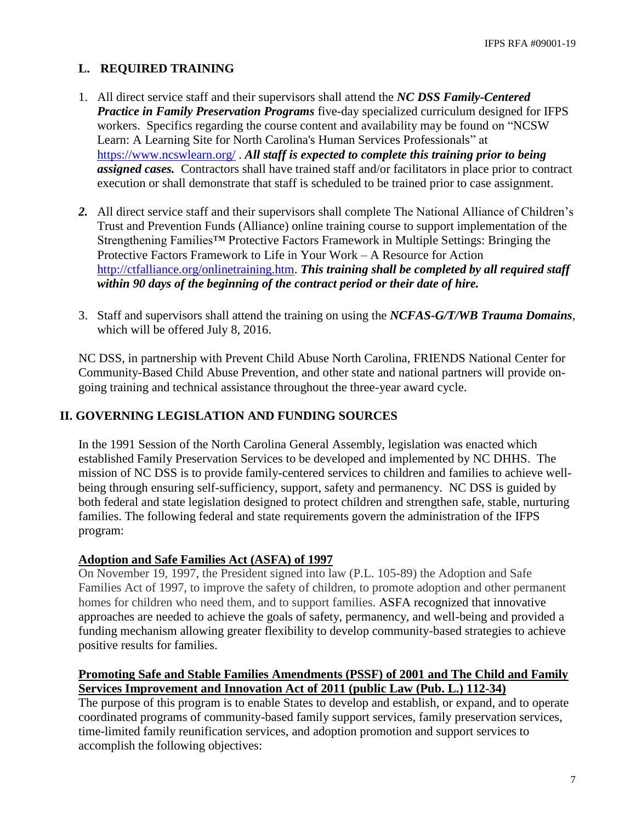## **L. REQUIRED TRAINING**

- 1. All direct service staff and their supervisors shall attend the *NC DSS Family-Centered Practice in Family Preservation Programs* five-day specialized curriculum designed for IFPS workers. Specifics regarding the course content and availability may be found on "NCSW Learn: A Learning Site for North Carolina's Human Services Professionals" at <https://www.ncswlearn.org/> . *All staff is expected to complete this training prior to being assigned cases.* Contractors shall have trained staff and/or facilitators in place prior to contract execution or shall demonstrate that staff is scheduled to be trained prior to case assignment.
- *2.* All direct service staff and their supervisors shall complete The National Alliance of Children's Trust and Prevention Funds (Alliance) online training course to support implementation of the Strengthening Families™ Protective Factors Framework in Multiple Settings: Bringing the Protective Factors Framework to Life in Your Work – A Resource for Action [http://ctfalliance.org/onlinetraining.htm.](http://ctfalliance.org/onlinetraining.htm) *This training shall be completed by all required staff within 90 days of the beginning of the contract period or their date of hire.*
- 3. Staff and supervisors shall attend the training on using the *NCFAS-G/T/WB Trauma Domains*, which will be offered July 8, 2016.

NC DSS, in partnership with Prevent Child Abuse North Carolina, FRIENDS National Center for Community-Based Child Abuse Prevention, and other state and national partners will provide ongoing training and technical assistance throughout the three-year award cycle.

## **II. GOVERNING LEGISLATION AND FUNDING SOURCES**

In the 1991 Session of the North Carolina General Assembly, legislation was enacted which established Family Preservation Services to be developed and implemented by NC DHHS. The mission of NC DSS is to provide family-centered services to children and families to achieve wellbeing through ensuring self-sufficiency, support, safety and permanency. NC DSS is guided by both federal and state legislation designed to protect children and strengthen safe, stable, nurturing families. The following federal and state requirements govern the administration of the IFPS program:

## **Adoption and Safe Families Act (ASFA) of 1997**

On November 19, 1997, the President signed into law (P.L. 105-89) the Adoption and Safe Families Act of 1997, to improve the safety of children, to promote adoption and other permanent homes for children who need them, and to support families. ASFA recognized that innovative approaches are needed to achieve the goals of safety, permanency, and well-being and provided a funding mechanism allowing greater flexibility to develop community-based strategies to achieve positive results for families.

## **Promoting Safe and Stable Families Amendments (PSSF) of 2001 and The Child and Family Services Improvement and Innovation Act of 2011 (public Law (Pub. L.) 112-34)**

The purpose of this program is to enable States to develop and establish, or expand, and to operate coordinated programs of community-based family support services, family preservation services, time-limited family reunification services, and adoption promotion and support services to accomplish the following objectives: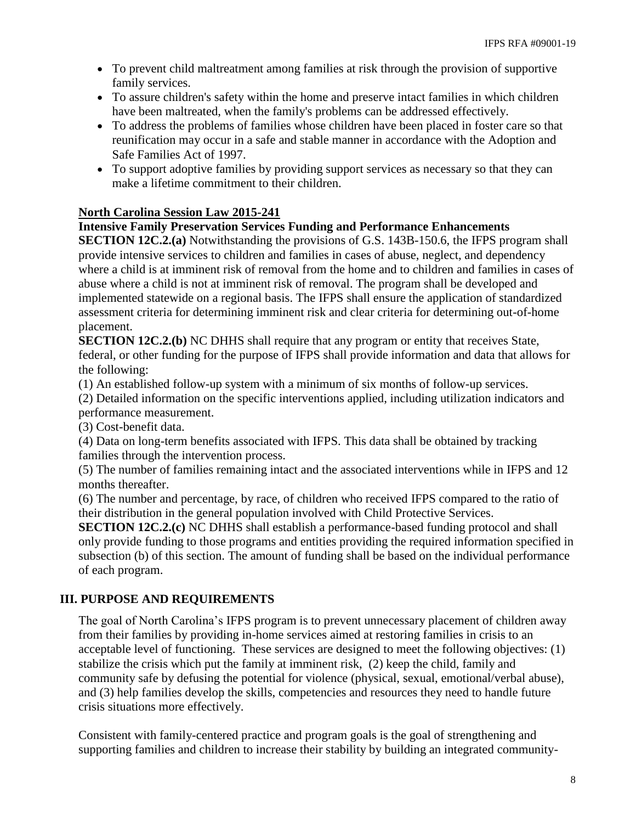- To prevent child maltreatment among families at risk through the provision of supportive family services.
- To assure children's safety within the home and preserve intact families in which children have been maltreated, when the family's problems can be addressed effectively.
- To address the problems of families whose children have been placed in foster care so that reunification may occur in a safe and stable manner in accordance with the Adoption and Safe Families Act of 1997.
- To support adoptive families by providing support services as necessary so that they can make a lifetime commitment to their children.

## **North Carolina Session Law 2015-241**

#### **Intensive Family Preservation Services Funding and Performance Enhancements**

**SECTION 12C.2.(a)** Notwithstanding the provisions of G.S. 143B-150.6, the IFPS program shall provide intensive services to children and families in cases of abuse, neglect, and dependency where a child is at imminent risk of removal from the home and to children and families in cases of abuse where a child is not at imminent risk of removal. The program shall be developed and implemented statewide on a regional basis. The IFPS shall ensure the application of standardized assessment criteria for determining imminent risk and clear criteria for determining out-of-home placement.

**SECTION 12C.2.(b)** NC DHHS shall require that any program or entity that receives State, federal, or other funding for the purpose of IFPS shall provide information and data that allows for the following:

(1) An established follow-up system with a minimum of six months of follow-up services.

(2) Detailed information on the specific interventions applied, including utilization indicators and performance measurement.

(3) Cost-benefit data.

(4) Data on long-term benefits associated with IFPS. This data shall be obtained by tracking families through the intervention process.

(5) The number of families remaining intact and the associated interventions while in IFPS and 12 months thereafter.

(6) The number and percentage, by race, of children who received IFPS compared to the ratio of their distribution in the general population involved with Child Protective Services.

**SECTION 12C.2.(c)** NC DHHS shall establish a performance-based funding protocol and shall only provide funding to those programs and entities providing the required information specified in subsection (b) of this section. The amount of funding shall be based on the individual performance of each program.

## **III. PURPOSE AND REQUIREMENTS**

The goal of North Carolina's IFPS program is to prevent unnecessary placement of children away from their families by providing in-home services aimed at restoring families in crisis to an acceptable level of functioning. These services are designed to meet the following objectives: (1) stabilize the crisis which put the family at imminent risk, (2) keep the child, family and community safe by defusing the potential for violence (physical, sexual, emotional/verbal abuse), and (3) help families develop the skills, competencies and resources they need to handle future crisis situations more effectively.

Consistent with family-centered practice and program goals is the goal of strengthening and supporting families and children to increase their stability by building an integrated community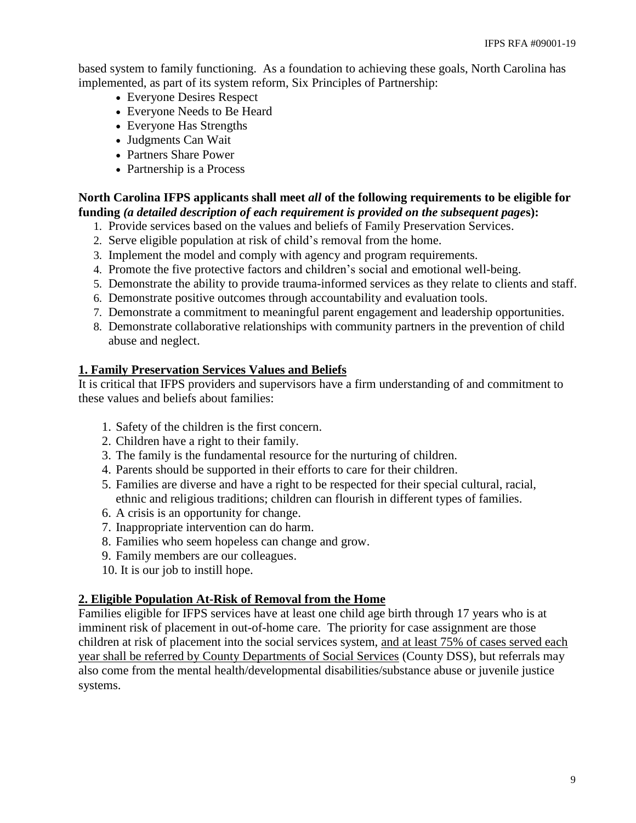based system to family functioning. As a foundation to achieving these goals, North Carolina has implemented, as part of its system reform, Six Principles of Partnership:

- Everyone Desires Respect
- Everyone Needs to Be Heard
- Everyone Has Strengths
- Judgments Can Wait
- Partners Share Power
- Partnership is a Process

## **North Carolina IFPS applicants shall meet** *all* **of the following requirements to be eligible for funding** *(a detailed description of each requirement is provided on the subsequent page***s):**

- 1. Provide services based on the values and beliefs of Family Preservation Services.
- 2. Serve eligible population at risk of child's removal from the home.
- 3. Implement the model and comply with agency and program requirements.
- 4. Promote the five protective factors and children's social and emotional well-being.
- 5. Demonstrate the ability to provide trauma-informed services as they relate to clients and staff.
- 6. Demonstrate positive outcomes through accountability and evaluation tools.
- 7. Demonstrate a commitment to meaningful parent engagement and leadership opportunities.
- 8. Demonstrate collaborative relationships with community partners in the prevention of child abuse and neglect.

#### **1. Family Preservation Services Values and Beliefs**

It is critical that IFPS providers and supervisors have a firm understanding of and commitment to these values and beliefs about families:

- 1. Safety of the children is the first concern.
- 2. Children have a right to their family.
- 3. The family is the fundamental resource for the nurturing of children.
- 4. Parents should be supported in their efforts to care for their children.
- 5. Families are diverse and have a right to be respected for their special cultural, racial, ethnic and religious traditions; children can flourish in different types of families.
- 6. A crisis is an opportunity for change.
- 7. Inappropriate intervention can do harm.
- 8. Families who seem hopeless can change and grow.
- 9. Family members are our colleagues.
- 10. It is our job to instill hope.

#### **2. Eligible Population At-Risk of Removal from the Home**

Families eligible for IFPS services have at least one child age birth through 17 years who is at imminent risk of placement in out-of-home care. The priority for case assignment are those children at risk of placement into the social services system, and at least 75% of cases served each year shall be referred by County Departments of Social Services (County DSS), but referrals may also come from the mental health/developmental disabilities/substance abuse or juvenile justice systems.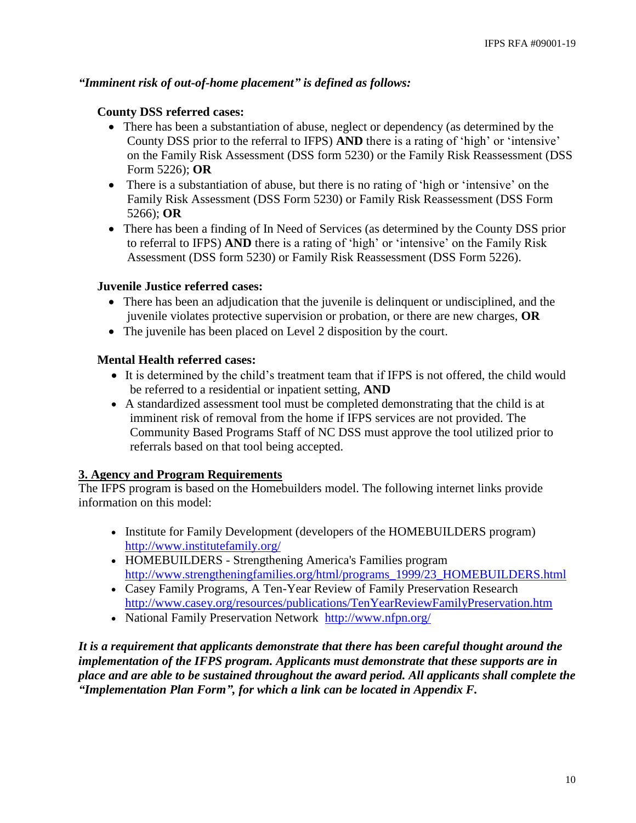#### *"Imminent risk of out-of-home placement" is defined as follows:*

#### **County DSS referred cases:**

- There has been a substantiation of abuse, neglect or dependency (as determined by the County DSS prior to the referral to IFPS) **AND** there is a rating of 'high' or 'intensive' on the Family Risk Assessment (DSS form 5230) or the Family Risk Reassessment (DSS Form 5226); **OR**
- There is a substantiation of abuse, but there is no rating of 'high or 'intensive' on the Family Risk Assessment (DSS Form 5230) or Family Risk Reassessment (DSS Form 5266); **OR**
- There has been a finding of In Need of Services (as determined by the County DSS prior to referral to IFPS) **AND** there is a rating of 'high' or 'intensive' on the Family Risk Assessment (DSS form 5230) or Family Risk Reassessment (DSS Form 5226).

#### **Juvenile Justice referred cases:**

- There has been an adjudication that the juvenile is delinquent or undisciplined, and the juvenile violates protective supervision or probation, or there are new charges, **OR**
- The juvenile has been placed on Level 2 disposition by the court.

#### **Mental Health referred cases:**

- It is determined by the child's treatment team that if IFPS is not offered, the child would be referred to a residential or inpatient setting, **AND**
- A standardized assessment tool must be completed demonstrating that the child is at imminent risk of removal from the home if IFPS services are not provided. The Community Based Programs Staff of NC DSS must approve the tool utilized prior to referrals based on that tool being accepted.

#### **3. Agency and Program Requirements**

The IFPS program is based on the Homebuilders model. The following internet links provide information on this model:

- Institute for Family Development (developers of the HOMEBUILDERS program) <http://www.institutefamily.org/>
- HOMEBUILDERS *-* [Strengthening America's](http://www.google.com/url?sa=t&rct=j&q=&esrc=s&source=web&cd=3&cad=rja&ved=0CGMQFjAC&url=http%3A%2F%2Fwww.strengtheningfamilies.org%2Fhtml%2Fprograms_1999%2F23_HOMEBUILDERS.html&ei=xGUuUO6fIum3yQHM3IHwCQ&usg=AFQjCNHK224Ya8HkUDpqNARSdQR8mteTSA&sig2=uvkWUir-TMNQeY7GUDx6RQ) Families program [http://www.strengtheningfamilies.org/html/programs\\_1999/23\\_HOMEBUILDERS.html](http://www.strengtheningfamilies.org/html/programs_1999/23_HOMEBUILDERS.html)
- Casey Family Programs, A Ten-Year Review of Family Preservation Research <http://www.casey.org/resources/publications/TenYearReviewFamilyPreservation.htm>
- National Family Preservation Network <http://www.nfpn.org/>

*It is a requirement that applicants demonstrate that there has been careful thought around the implementation of the IFPS program. Applicants must demonstrate that these supports are in place and are able to be sustained throughout the award period. All applicants shall complete the "Implementation Plan Form", for which a link can be located in Appendix F.*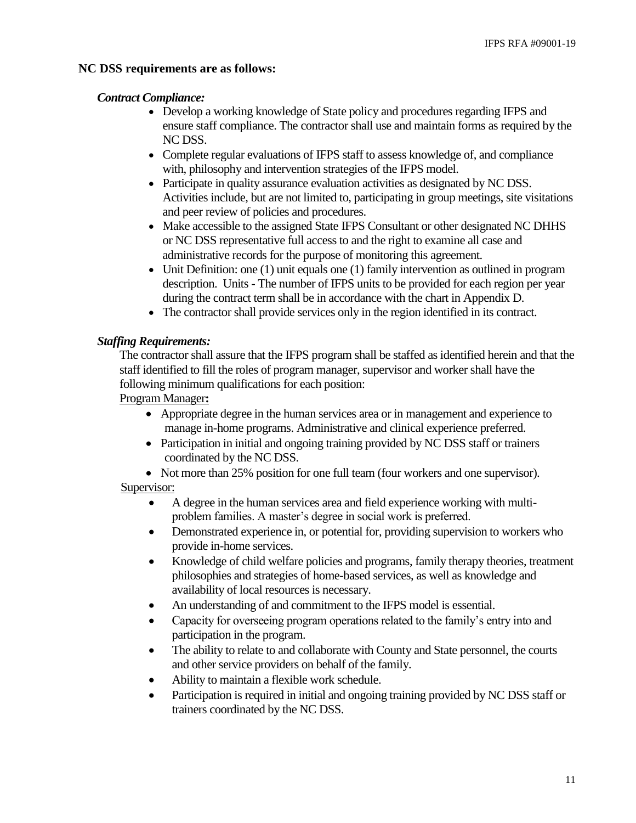## **NC DSS requirements are as follows:**

#### *Contract Compliance:*

- Develop a working knowledge of State policy and procedures regarding IFPS and ensure staff compliance. The contractor shall use and maintain forms as required by the NC DSS.
- Complete regular evaluations of IFPS staff to assess knowledge of, and compliance with, philosophy and intervention strategies of the IFPS model.
- Participate in quality assurance evaluation activities as designated by NC DSS. Activities include, but are not limited to, participating in group meetings, site visitations and peer review of policies and procedures.
- Make accessible to the assigned State IFPS Consultant or other designated NC DHHS or NC DSS representative full access to and the right to examine all case and administrative records for the purpose of monitoring this agreement.
- Unit Definition: one (1) unit equals one (1) family intervention as outlined in program description. Units - The number of IFPS units to be provided for each region per year during the contract term shall be in accordance with the chart in Appendix D.
- The contractor shall provide services only in the region identified in its contract.

## *Staffing Requirements:*

The contractor shall assure that the IFPS program shall be staffed as identified herein and that the staff identified to fill the roles of program manager, supervisor and worker shall have the following minimum qualifications for each position:

Program Manager**:**

- Appropriate degree in the human services area or in management and experience to manage in-home programs. Administrative and clinical experience preferred.
- Participation in initial and ongoing training provided by NC DSS staff or trainers coordinated by the NC DSS.
- Not more than 25% position for one full team (four workers and one supervisor).

## Supervisor:

- A degree in the human services area and field experience working with multiproblem families. A master's degree in social work is preferred.
- Demonstrated experience in, or potential for, providing supervision to workers who provide in-home services.
- Knowledge of child welfare policies and programs, family therapy theories, treatment philosophies and strategies of home-based services, as well as knowledge and availability of local resources is necessary.
- An understanding of and commitment to the IFPS model is essential.
- Capacity for overseeing program operations related to the family's entry into and participation in the program.
- The ability to relate to and collaborate with County and State personnel, the courts and other service providers on behalf of the family.
- Ability to maintain a flexible work schedule.
- Participation is required in initial and ongoing training provided by NC DSS staff or trainers coordinated by the NC DSS.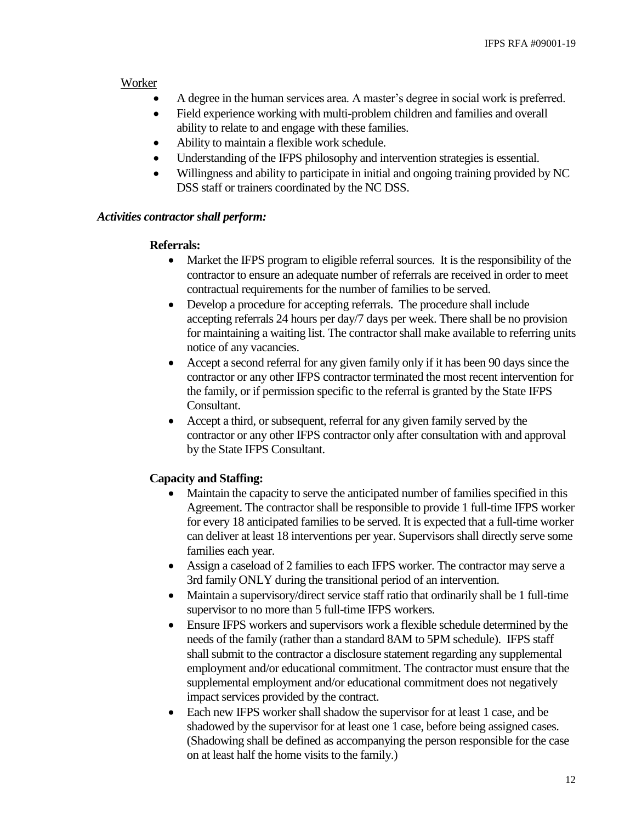#### Worker

- A degree in the human services area. A master's degree in social work is preferred.
- Field experience working with multi-problem children and families and overall ability to relate to and engage with these families.
- Ability to maintain a flexible work schedule.
- Understanding of the IFPS philosophy and intervention strategies is essential.
- Willingness and ability to participate in initial and ongoing training provided by NC DSS staff or trainers coordinated by the NC DSS.

#### *Activities contractor shall perform:*

#### **Referrals:**

- Market the IFPS program to eligible referral sources. It is the responsibility of the contractor to ensure an adequate number of referrals are received in order to meet contractual requirements for the number of families to be served.
- Develop a procedure for accepting referrals. The procedure shall include accepting referrals 24 hours per day/7 days per week. There shall be no provision for maintaining a waiting list. The contractor shall make available to referring units notice of any vacancies.
- Accept a second referral for any given family only if it has been 90 days since the contractor or any other IFPS contractor terminated the most recent intervention for the family, or if permission specific to the referral is granted by the State IFPS Consultant.
- Accept a third, or subsequent, referral for any given family served by the contractor or any other IFPS contractor only after consultation with and approval by the State IFPS Consultant.

#### **Capacity and Staffing:**

- Maintain the capacity to serve the anticipated number of families specified in this Agreement. The contractor shall be responsible to provide 1 full-time IFPS worker for every 18 anticipated families to be served. It is expected that a full-time worker can deliver at least 18 interventions per year. Supervisors shall directly serve some families each year.
- Assign a caseload of 2 families to each IFPS worker. The contractor may serve a 3rd family ONLY during the transitional period of an intervention.
- Maintain a supervisory/direct service staff ratio that ordinarily shall be 1 full-time supervisor to no more than 5 full-time IFPS workers.
- Ensure IFPS workers and supervisors work a flexible schedule determined by the needs of the family (rather than a standard 8AM to 5PM schedule). IFPS staff shall submit to the contractor a disclosure statement regarding any supplemental employment and/or educational commitment. The contractor must ensure that the supplemental employment and/or educational commitment does not negatively impact services provided by the contract.
- Each new IFPS worker shall shadow the supervisor for at least 1 case, and be shadowed by the supervisor for at least one 1 case, before being assigned cases. (Shadowing shall be defined as accompanying the person responsible for the case on at least half the home visits to the family.)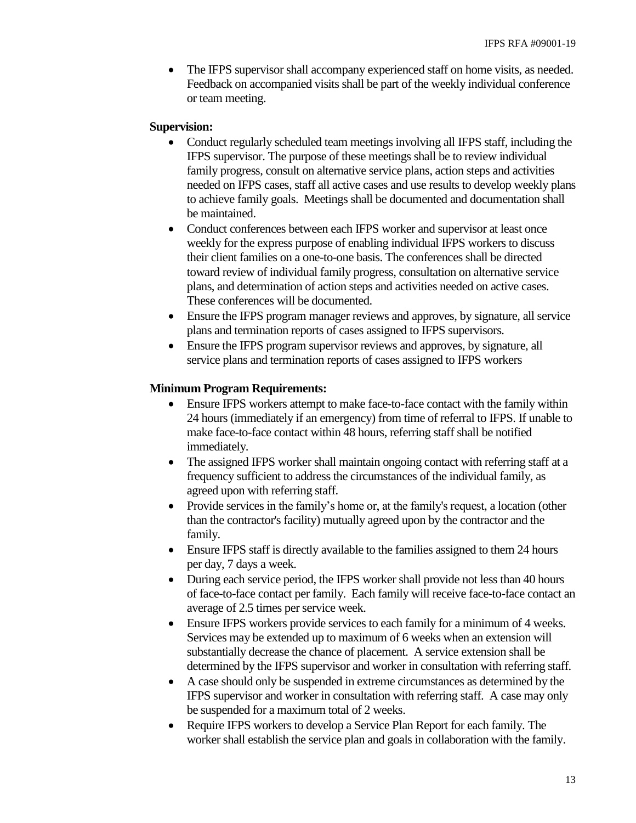• The IFPS supervisor shall accompany experienced staff on home visits, as needed. Feedback on accompanied visits shall be part of the weekly individual conference or team meeting.

#### **Supervision:**

- Conduct regularly scheduled team meetings involving all IFPS staff, including the IFPS supervisor. The purpose of these meetings shall be to review individual family progress, consult on alternative service plans, action steps and activities needed on IFPS cases, staff all active cases and use results to develop weekly plans to achieve family goals. Meetings shall be documented and documentation shall be maintained.
- Conduct conferences between each IFPS worker and supervisor at least once weekly for the express purpose of enabling individual IFPS workers to discuss their client families on a one-to-one basis. The conferences shall be directed toward review of individual family progress, consultation on alternative service plans, and determination of action steps and activities needed on active cases. These conferences will be documented.
- Ensure the IFPS program manager reviews and approves, by signature, all service plans and termination reports of cases assigned to IFPS supervisors.
- Ensure the IFPS program supervisor reviews and approves, by signature, all service plans and termination reports of cases assigned to IFPS workers

#### **Minimum Program Requirements:**

- Ensure IFPS workers attempt to make face-to-face contact with the family within 24 hours (immediately if an emergency) from time of referral to IFPS. If unable to make face-to-face contact within 48 hours, referring staff shall be notified immediately.
- The assigned IFPS worker shall maintain ongoing contact with referring staff at a frequency sufficient to address the circumstances of the individual family, as agreed upon with referring staff.
- Provide services in the family's home or, at the family's request, a location (other than the contractor's facility) mutually agreed upon by the contractor and the family.
- Ensure IFPS staff is directly available to the families assigned to them 24 hours per day, 7 days a week.
- During each service period, the IFPS worker shall provide not less than 40 hours of face-to-face contact per family. Each family will receive face-to-face contact an average of 2.5 times per service week.
- Ensure IFPS workers provide services to each family for a minimum of 4 weeks. Services may be extended up to maximum of 6 weeks when an extension will substantially decrease the chance of placement. A service extension shall be determined by the IFPS supervisor and worker in consultation with referring staff.
- A case should only be suspended in extreme circumstances as determined by the IFPS supervisor and worker in consultation with referring staff. A case may only be suspended for a maximum total of 2 weeks.
- Require IFPS workers to develop a Service Plan Report for each family. The worker shall establish the service plan and goals in collaboration with the family.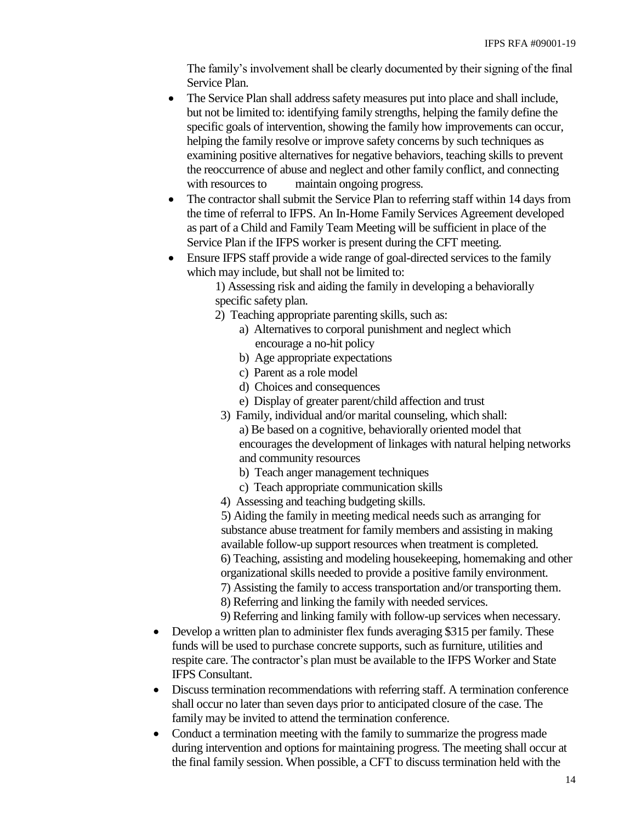The family's involvement shall be clearly documented by their signing of the final Service Plan.

- The Service Plan shall address safety measures put into place and shall include, but not be limited to: identifying family strengths, helping the family define the specific goals of intervention, showing the family how improvements can occur, helping the family resolve or improve safety concerns by such techniques as examining positive alternatives for negative behaviors, teaching skills to prevent the reoccurrence of abuse and neglect and other family conflict, and connecting with resources to maintain ongoing progress.
- The contractor shall submit the Service Plan to referring staff within 14 days from the time of referral to IFPS. An In-Home Family Services Agreement developed as part of a Child and Family Team Meeting will be sufficient in place of the Service Plan if the IFPS worker is present during the CFT meeting.
- Ensure IFPS staff provide a wide range of goal-directed services to the family which may include, but shall not be limited to:

1) Assessing risk and aiding the family in developing a behaviorally specific safety plan.

- 2) Teaching appropriate parenting skills, such as:
	- a) Alternatives to corporal punishment and neglect which encourage a no-hit policy
	- b) Age appropriate expectations
	- c) Parent as a role model
	- d) Choices and consequences
	- e) Display of greater parent/child affection and trust
	- 3) Family, individual and/or marital counseling, which shall: a) Be based on a cognitive, behaviorally oriented model that encourages the development of linkages with natural helping networks and community resources
		- b) Teach anger management techniques
		- c) Teach appropriate communication skills
	- 4) Assessing and teaching budgeting skills.

5) Aiding the family in meeting medical needs such as arranging for substance abuse treatment for family members and assisting in making available follow-up support resources when treatment is completed. 6) Teaching, assisting and modeling housekeeping, homemaking and other organizational skills needed to provide a positive family environment. 7) Assisting the family to access transportation and/or transporting them. 8) Referring and linking the family with needed services.

9) Referring and linking family with follow-up services when necessary.

- Develop a written plan to administer flex funds averaging \$315 per family. These funds will be used to purchase concrete supports, such as furniture, utilities and respite care. The contractor's plan must be available to the IFPS Worker and State IFPS Consultant.
- Discuss termination recommendations with referring staff. A termination conference shall occur no later than seven days prior to anticipated closure of the case. The family may be invited to attend the termination conference.
- Conduct a termination meeting with the family to summarize the progress made during intervention and options for maintaining progress. The meeting shall occur at the final family session. When possible, a CFT to discuss termination held with the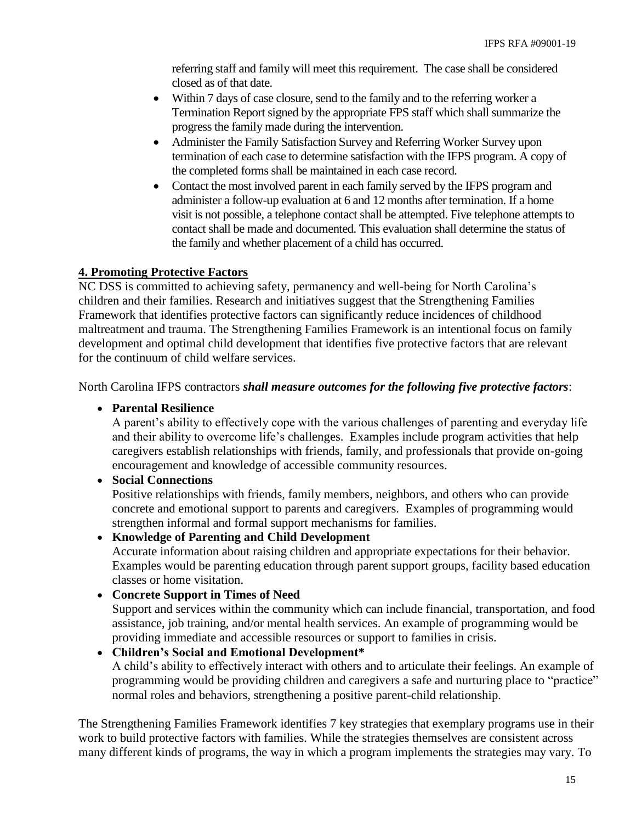referring staff and family will meet this requirement. The case shall be considered closed as of that date.

- Within 7 days of case closure, send to the family and to the referring worker a Termination Report signed by the appropriate FPS staff which shall summarize the progress the family made during the intervention.
- Administer the Family Satisfaction Survey and Referring Worker Survey upon termination of each case to determine satisfaction with the IFPS program. A copy of the completed forms shall be maintained in each case record.
- Contact the most involved parent in each family served by the IFPS program and administer a follow-up evaluation at 6 and 12 months after termination. If a home visit is not possible, a telephone contact shall be attempted. Five telephone attempts to contact shall be made and documented. This evaluation shall determine the status of the family and whether placement of a child has occurred.

## **4. Promoting Protective Factors**

NC DSS is committed to achieving safety, permanency and well-being for North Carolina's children and their families. Research and initiatives suggest that the Strengthening Families Framework that identifies protective factors can significantly reduce incidences of childhood maltreatment and trauma. The Strengthening Families Framework is an intentional focus on family development and optimal child development that identifies five protective factors that are relevant for the continuum of child welfare services.

North Carolina IFPS contractors *shall measure outcomes for the following five protective factors*:

## **Parental Resilience**

A parent's ability to effectively cope with the various challenges of parenting and everyday life and their ability to overcome life's challenges. Examples include program activities that help caregivers establish relationships with friends, family, and professionals that provide on-going encouragement and knowledge of accessible community resources.

## **Social Connections**

Positive relationships with friends, family members, neighbors, and others who can provide concrete and emotional support to parents and caregivers. Examples of programming would strengthen informal and formal support mechanisms for families.

## **Knowledge of Parenting and Child Development**

Accurate information about raising children and appropriate expectations for their behavior. Examples would be parenting education through parent support groups, facility based education classes or home visitation.

## **Concrete Support in Times of Need**

Support and services within the community which can include financial, transportation, and food assistance, job training, and/or mental health services. An example of programming would be providing immediate and accessible resources or support to families in crisis.

## **Children's Social and Emotional Development\***

A child's ability to effectively interact with others and to articulate their feelings. An example of programming would be providing children and caregivers a safe and nurturing place to "practice" normal roles and behaviors, strengthening a positive parent-child relationship.

The Strengthening Families Framework identifies 7 key strategies that exemplary programs use in their work to build protective factors with families. While the strategies themselves are consistent across many different kinds of programs, the way in which a program implements the strategies may vary. To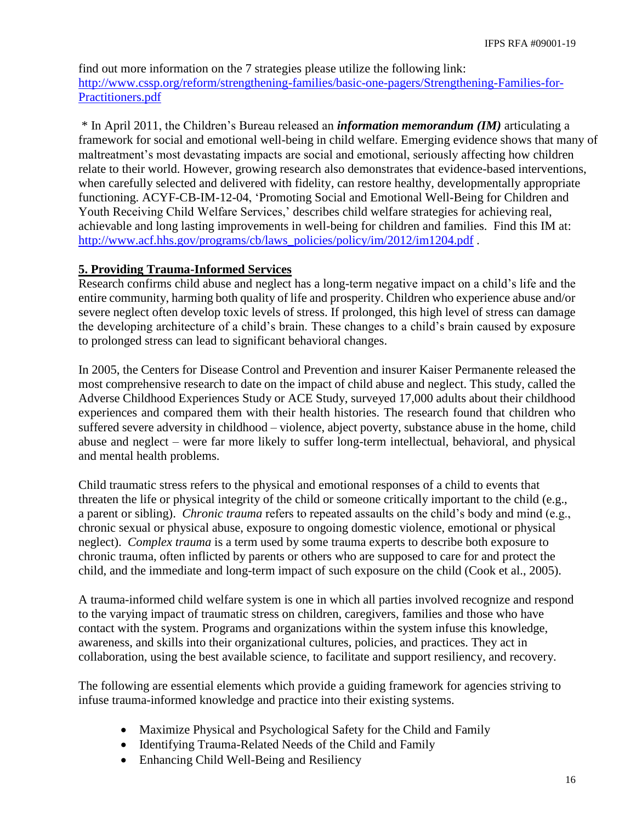find out more information on the 7 strategies please utilize the following link: [http://www.cssp.org/reform/strengthening-families/basic-one-pagers/Strengthening-Families-for-](http://www.cssp.org/reform/strengthening-families/basic-one-pagers/Strengthening-Families-for-Practitioners.pdf)[Practitioners.pdf](http://www.cssp.org/reform/strengthening-families/basic-one-pagers/Strengthening-Families-for-Practitioners.pdf)

\* In April 2011, the Children's Bureau released an *information memorandum (IM)* articulating a framework for social and emotional well-being in child welfare. Emerging evidence shows that many of maltreatment's most devastating impacts are social and emotional, seriously affecting how children relate to their world. However, growing research also demonstrates that evidence-based interventions, when carefully selected and delivered with fidelity, can restore healthy, developmentally appropriate functioning. ACYF-CB-IM-12-04, 'Promoting Social and Emotional Well-Being for Children and Youth Receiving Child Welfare Services,' describes child welfare strategies for achieving real, achievable and long lasting improvements in well-being for children and families. Find this IM at: [http://www.acf.hhs.gov/programs/cb/laws\\_policies/policy/im/2012/im1204.pdf](http://www.acf.hhs.gov/programs/cb/laws_policies/policy/im/2012/im1204.pdf).

## **5. Providing Trauma-Informed Services**

Research confirms child abuse and neglect has a long-term negative impact on a child's life and the entire community, harming both quality of life and prosperity. Children who experience abuse and/or severe neglect often develop toxic levels of stress. If prolonged, this high level of stress can damage the developing architecture of a child's brain. These changes to a child's brain caused by exposure to prolonged stress can lead to significant behavioral changes.

In 2005, the Centers for Disease Control and Prevention and insurer Kaiser Permanente released the most comprehensive research to date on the impact of child abuse and neglect. This study, called the Adverse Childhood Experiences Study or ACE Study, surveyed 17,000 adults about their childhood experiences and compared them with their health histories. The research found that children who suffered severe adversity in childhood – violence, abject poverty, substance abuse in the home, child abuse and neglect – were far more likely to suffer long-term intellectual, behavioral, and physical and mental health problems.

Child traumatic stress refers to the physical and emotional responses of a child to events that threaten the life or physical integrity of the child or someone critically important to the child (e.g., a parent or sibling). *Chronic trauma* refers to repeated assaults on the child's body and mind (e.g., chronic sexual or physical abuse, exposure to ongoing domestic violence, emotional or physical neglect). *Complex trauma* is a term used by some trauma experts to describe both exposure to chronic trauma, often inflicted by parents or others who are supposed to care for and protect the child, and the immediate and long-term impact of such exposure on the child (Cook et al., 2005).

A trauma-informed child welfare system is one in which all parties involved recognize and respond to the varying impact of traumatic stress on children, caregivers, families and those who have contact with the system. Programs and organizations within the system infuse this knowledge, awareness, and skills into their organizational cultures, policies, and practices. They act in collaboration, using the best available science, to facilitate and support resiliency, and recovery.

The following are essential elements which provide a guiding framework for agencies striving to infuse trauma-informed knowledge and practice into their existing systems.

- Maximize Physical and Psychological Safety for the Child and Family
- Identifying Trauma-Related Needs of the Child and Family
- Enhancing Child Well-Being and Resiliency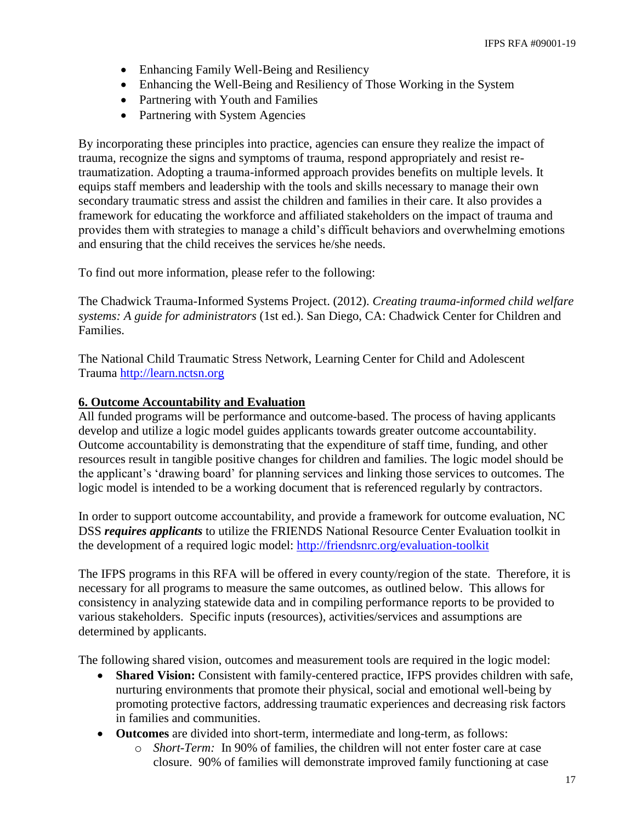- Enhancing Family Well-Being and Resiliency
- Enhancing the Well-Being and Resiliency of Those Working in the System
- Partnering with Youth and Families
- Partnering with System Agencies

By incorporating these principles into practice, agencies can ensure they realize the impact of trauma, recognize the signs and symptoms of trauma, respond appropriately and resist retraumatization. Adopting a trauma-informed approach provides benefits on multiple levels. It equips staff members and leadership with the tools and skills necessary to manage their own secondary traumatic stress and assist the children and families in their care. It also provides a framework for educating the workforce and affiliated stakeholders on the impact of trauma and provides them with strategies to manage a child's difficult behaviors and overwhelming emotions and ensuring that the child receives the services he/she needs.

To find out more information, please refer to the following:

The Chadwick Trauma-Informed Systems Project. (2012). *Creating trauma-informed child welfare systems: A guide for administrators* (1st ed.). San Diego, CA: Chadwick Center for Children and Families.

The National Child Traumatic Stress Network, Learning Center for Child and Adolescent Trauma [http://learn.nctsn.org](http://learn.nctsn.org/) 

#### **6. Outcome Accountability and Evaluation**

All funded programs will be performance and outcome-based. The process of having applicants develop and utilize a logic model guides applicants towards greater outcome accountability. Outcome accountability is demonstrating that the expenditure of staff time, funding, and other resources result in tangible positive changes for children and families. The logic model should be the applicant's 'drawing board' for planning services and linking those services to outcomes. The logic model is intended to be a working document that is referenced regularly by contractors.

In order to support outcome accountability, and provide a framework for outcome evaluation, NC DSS *requires applicants* to utilize the FRIENDS National Resource Center Evaluation toolkit in the development of a required logic model:<http://friendsnrc.org/evaluation-toolkit>

The IFPS programs in this RFA will be offered in every county/region of the state. Therefore, it is necessary for all programs to measure the same outcomes, as outlined below. This allows for consistency in analyzing statewide data and in compiling performance reports to be provided to various stakeholders. Specific inputs (resources), activities/services and assumptions are determined by applicants.

The following shared vision, outcomes and measurement tools are required in the logic model:

- **Shared Vision:** Consistent with family-centered practice, IFPS provides children with safe, nurturing environments that promote their physical, social and emotional well-being by promoting protective factors, addressing traumatic experiences and decreasing risk factors in families and communities.
- **Outcomes** are divided into short-term, intermediate and long-term, as follows:
	- o *Short-Term:* In 90% of families, the children will not enter foster care at case closure. 90% of families will demonstrate improved family functioning at case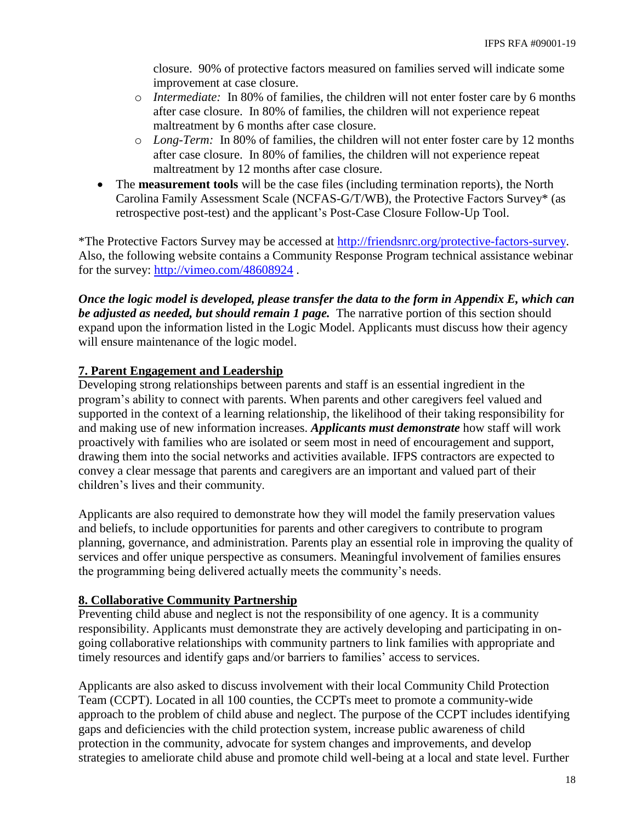closure. 90% of protective factors measured on families served will indicate some improvement at case closure.

- o *Intermediate:* In 80% of families, the children will not enter foster care by 6 months after case closure. In 80% of families, the children will not experience repeat maltreatment by 6 months after case closure.
- o *Long-Term:* In 80% of families, the children will not enter foster care by 12 months after case closure. In 80% of families, the children will not experience repeat maltreatment by 12 months after case closure.
- The **measurement tools** will be the case files (including termination reports), the North Carolina Family Assessment Scale (NCFAS-G/T/WB), the Protective Factors Survey\* (as retrospective post-test) and the applicant's Post-Case Closure Follow-Up Tool.

\*The Protective Factors Survey may be accessed at [http://friendsnrc.org/protective-factors-survey.](http://friendsnrc.org/protective-factors-survey) Also, the following website contains a Community Response Program technical assistance webinar for the survey:<http://vimeo.com/48608924> .

*Once the logic model is developed, please transfer the data to the form in Appendix E, which can be adjusted as needed, but should remain 1 page.* The narrative portion of this section should expand upon the information listed in the Logic Model. Applicants must discuss how their agency will ensure maintenance of the logic model.

## **7. Parent Engagement and Leadership**

Developing strong relationships between parents and staff is an essential ingredient in the program's ability to connect with parents. When parents and other caregivers feel valued and supported in the context of a learning relationship, the likelihood of their taking responsibility for and making use of new information increases. *Applicants must demonstrate* how staff will work proactively with families who are isolated or seem most in need of encouragement and support, drawing them into the social networks and activities available. IFPS contractors are expected to convey a clear message that parents and caregivers are an important and valued part of their children's lives and their community.

Applicants are also required to demonstrate how they will model the family preservation values and beliefs, to include opportunities for parents and other caregivers to contribute to program planning, governance, and administration. Parents play an essential role in improving the quality of services and offer unique perspective as consumers. Meaningful involvement of families ensures the programming being delivered actually meets the community's needs.

## **8. Collaborative Community Partnership**

Preventing child abuse and neglect is not the responsibility of one agency. It is a community responsibility. Applicants must demonstrate they are actively developing and participating in ongoing collaborative relationships with community partners to link families with appropriate and timely resources and identify gaps and/or barriers to families' access to services.

Applicants are also asked to discuss involvement with their local Community Child Protection Team (CCPT). Located in all 100 counties, the CCPTs meet to promote a community-wide approach to the problem of child abuse and neglect. The purpose of the CCPT includes identifying gaps and deficiencies with the child protection system, increase public awareness of child protection in the community, advocate for system changes and improvements, and develop strategies to ameliorate child abuse and promote child well-being at a local and state level. Further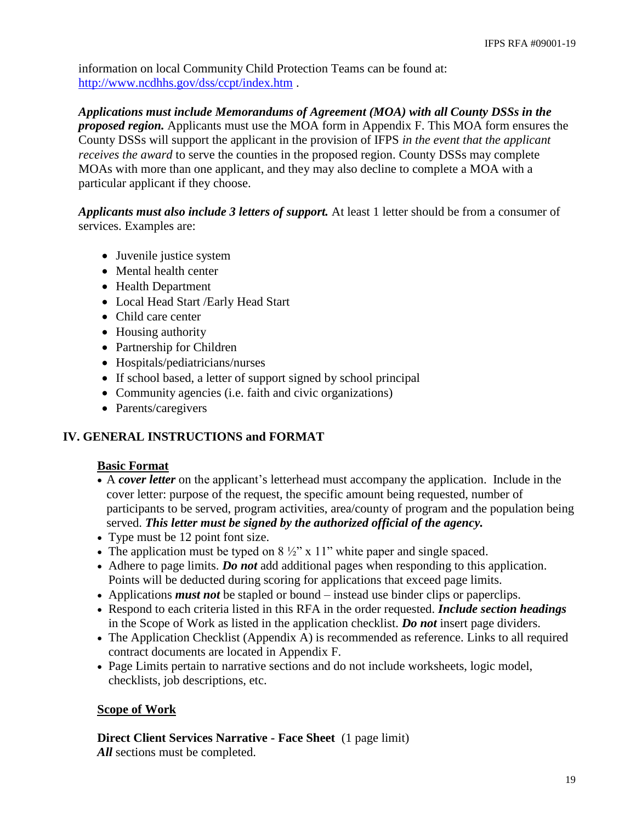information on local Community Child Protection Teams can be found at: <http://www.ncdhhs.gov/dss/ccpt/index.htm> .

*Applications must include Memorandums of Agreement (MOA) with all County DSSs in the proposed region.* Applicants must use the MOA form in Appendix F. This MOA form ensures the County DSSs will support the applicant in the provision of IFPS *in the event that the applicant receives the award* to serve the counties in the proposed region. County DSSs may complete MOAs with more than one applicant, and they may also decline to complete a MOA with a particular applicant if they choose.

*Applicants must also include 3 letters of support.* At least 1 letter should be from a consumer of services. Examples are:

- Juvenile justice system
- Mental health center
- Health Department
- Local Head Start /Early Head Start
- Child care center
- Housing authority
- Partnership for Children
- Hospitals/pediatricians/nurses
- If school based, a letter of support signed by school principal
- Community agencies (i.e. faith and civic organizations)
- Parents/caregivers

## **IV. GENERAL INSTRUCTIONS and FORMAT**

## **Basic Format**

- A *cover letter* on the applicant's letterhead must accompany the application. Include in the cover letter: purpose of the request, the specific amount being requested, number of participants to be served, program activities, area/county of program and the population being served. *This letter must be signed by the authorized official of the agency.*
- Type must be 12 point font size.
- The application must be typed on  $8\frac{1}{2}$ " x 11" white paper and single spaced.
- Adhere to page limits. *Do not* add additional pages when responding to this application. Points will be deducted during scoring for applications that exceed page limits.
- Applications *must not* be stapled or bound instead use binder clips or paperclips.
- Respond to each criteria listed in this RFA in the order requested. *Include section headings* in the Scope of Work as listed in the application checklist. *Do not* insert page dividers.
- The Application Checklist (Appendix A) is recommended as reference. Links to all required contract documents are located in Appendix F.
- Page Limits pertain to narrative sections and do not include worksheets, logic model, checklists, job descriptions, etc.

## **Scope of Work**

**Direct Client Services Narrative - Face Sheet** (1 page limit)

*All* sections must be completed.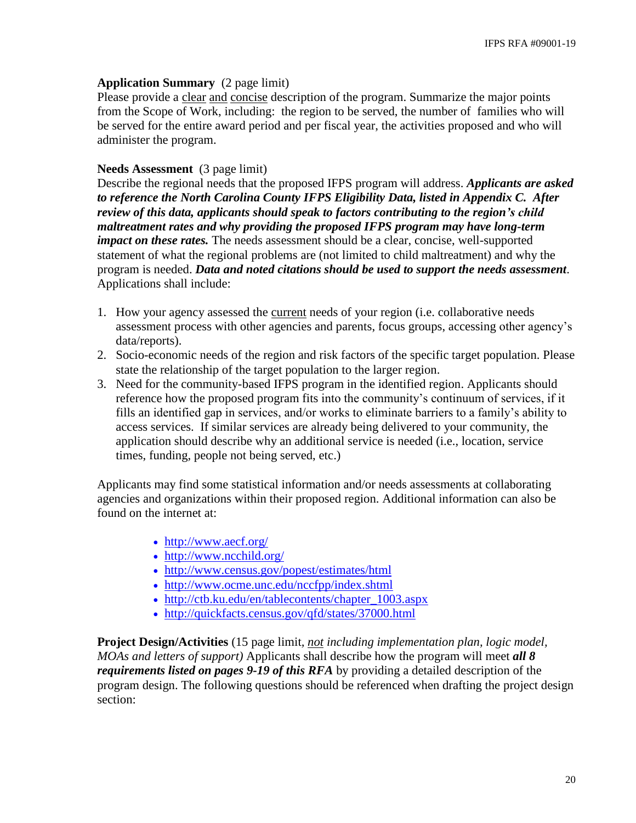#### **Application Summary** (2 page limit)

Please provide a clear and concise description of the program. Summarize the major points from the Scope of Work, including: the region to be served, the number of families who will be served for the entire award period and per fiscal year, the activities proposed and who will administer the program.

#### **Needs Assessment** (3 page limit)

Describe the regional needs that the proposed IFPS program will address. *Applicants are asked to reference the North Carolina County IFPS Eligibility Data, listed in Appendix C. After review of this data, applicants should speak to factors contributing to the region's child maltreatment rates and why providing the proposed IFPS program may have long-term impact on these rates.* The needs assessment should be a clear, concise, well-supported statement of what the regional problems are (not limited to child maltreatment) and why the program is needed. *Data and noted citations should be used to support the needs assessment*. Applications shall include:

- 1. How your agency assessed the current needs of your region (i.e. collaborative needs assessment process with other agencies and parents, focus groups, accessing other agency's data/reports).
- 2. Socio-economic needs of the region and risk factors of the specific target population. Please state the relationship of the target population to the larger region.
- 3. Need for the community-based IFPS program in the identified region. Applicants should reference how the proposed program fits into the community's continuum of services, if it fills an identified gap in services, and/or works to eliminate barriers to a family's ability to access services. If similar services are already being delivered to your community, the application should describe why an additional service is needed (i.e., location, service times, funding, people not being served, etc.)

Applicants may find some statistical information and/or needs assessments at collaborating agencies and organizations within their proposed region. Additional information can also be found on the internet at:

- <http://www.aecf.org/>
- <http://www.ncchild.org/>
- <http://www.census.gov/popest/estimates/html>
- <http://www.ocme.unc.edu/nccfpp/index.shtml>
- [http://ctb.ku.edu/en/tablecontents/chapter\\_1003.aspx](http://ctb.ku.edu/en/tablecontents/chapter_1003.aspx)
- <http://quickfacts.census.gov/qfd/states/37000.html>

**Project Design/Activities** (15 page limit*, not including implementation plan, logic model, MOAs and letters of support)* Applicants shall describe how the program will meet *all 8 requirements listed on pages 9-19 of this RFA* by providing a detailed description of the program design. The following questions should be referenced when drafting the project design section: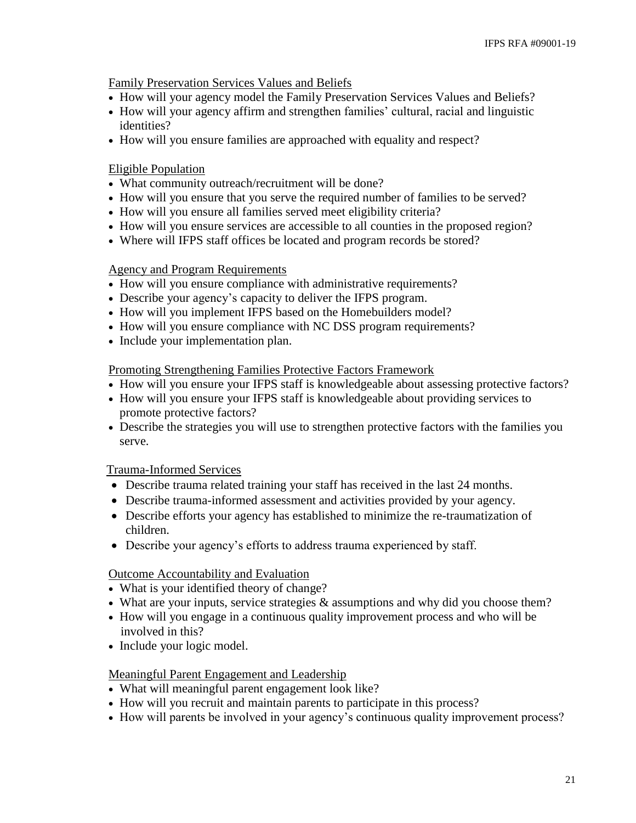Family Preservation Services Values and Beliefs

- How will your agency model the Family Preservation Services Values and Beliefs?
- How will your agency affirm and strengthen families' cultural, racial and linguistic identities?
- How will you ensure families are approached with equality and respect?

## Eligible Population

- What community outreach/recruitment will be done?
- How will you ensure that you serve the required number of families to be served?
- How will you ensure all families served meet eligibility criteria?
- How will you ensure services are accessible to all counties in the proposed region?
- Where will IFPS staff offices be located and program records be stored?

#### Agency and Program Requirements

- How will you ensure compliance with administrative requirements?
- Describe your agency's capacity to deliver the IFPS program.
- How will you implement IFPS based on the Homebuilders model?
- How will you ensure compliance with NC DSS program requirements?
- Include your implementation plan.

#### Promoting Strengthening Families Protective Factors Framework

- How will you ensure your IFPS staff is knowledgeable about assessing protective factors?
- How will you ensure your IFPS staff is knowledgeable about providing services to promote protective factors?
- Describe the strategies you will use to strengthen protective factors with the families you serve.

## Trauma-Informed Services

- Describe trauma related training your staff has received in the last 24 months.
- Describe trauma-informed assessment and activities provided by your agency.
- Describe efforts your agency has established to minimize the re-traumatization of children.
- Describe your agency's efforts to address trauma experienced by staff.

## Outcome Accountability and Evaluation

- What is your identified theory of change?
- What are your inputs, service strategies & assumptions and why did you choose them?
- How will you engage in a continuous quality improvement process and who will be involved in this?
- Include your logic model.

## Meaningful Parent Engagement and Leadership

- What will meaningful parent engagement look like?
- How will you recruit and maintain parents to participate in this process?
- How will parents be involved in your agency's continuous quality improvement process?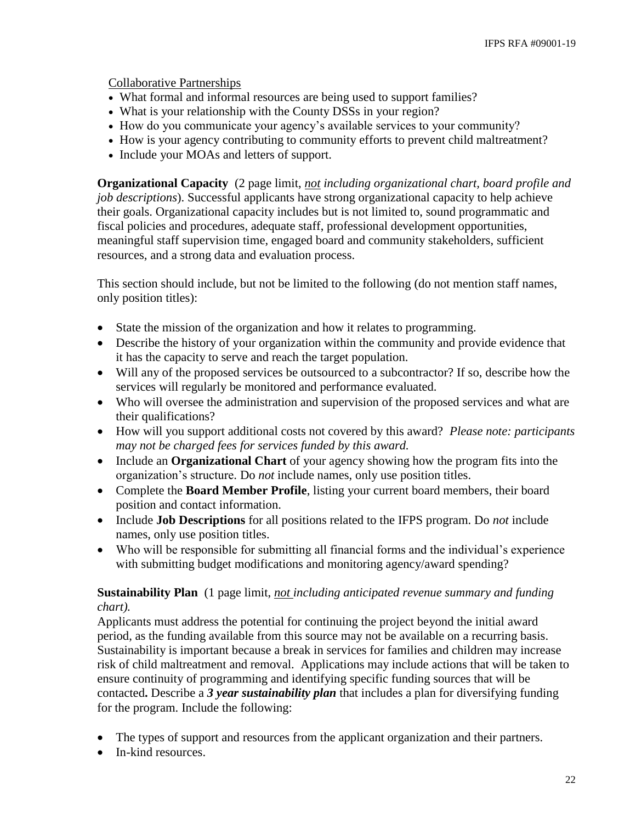Collaborative Partnerships

- What formal and informal resources are being used to support families?
- What is your relationship with the County DSSs in your region?
- How do you communicate your agency's available services to your community?
- How is your agency contributing to community efforts to prevent child maltreatment?
- Include your MOAs and letters of support.

**Organizational Capacity** (2 page limit, *not including organizational chart, board profile and job descriptions*). Successful applicants have strong organizational capacity to help achieve their goals. Organizational capacity includes but is not limited to, sound programmatic and fiscal policies and procedures, adequate staff, professional development opportunities, meaningful staff supervision time, engaged board and community stakeholders, sufficient resources, and a strong data and evaluation process.

This section should include, but not be limited to the following (do not mention staff names, only position titles):

- State the mission of the organization and how it relates to programming.
- Describe the history of your organization within the community and provide evidence that it has the capacity to serve and reach the target population.
- Will any of the proposed services be outsourced to a subcontractor? If so, describe how the services will regularly be monitored and performance evaluated.
- Who will oversee the administration and supervision of the proposed services and what are their qualifications?
- How will you support additional costs not covered by this award? *Please note: participants may not be charged fees for services funded by this award.*
- Include an **Organizational Chart** of your agency showing how the program fits into the organization's structure. Do *not* include names, only use position titles.
- Complete the **Board Member Profile**, listing your current board members, their board position and contact information.
- Include **Job Descriptions** for all positions related to the IFPS program. Do *not* include names, only use position titles.
- Who will be responsible for submitting all financial forms and the individual's experience with submitting budget modifications and monitoring agency/award spending?

## **Sustainability Plan** (1 page limit, *not including anticipated revenue summary and funding chart).*

Applicants must address the potential for continuing the project beyond the initial award period, as the funding available from this source may not be available on a recurring basis. Sustainability is important because a break in services for families and children may increase risk of child maltreatment and removal. Applications may include actions that will be taken to ensure continuity of programming and identifying specific funding sources that will be contacted**.** Describe a *3 year sustainability plan* that includes a plan for diversifying funding for the program. Include the following:

- The types of support and resources from the applicant organization and their partners.
- In-kind resources.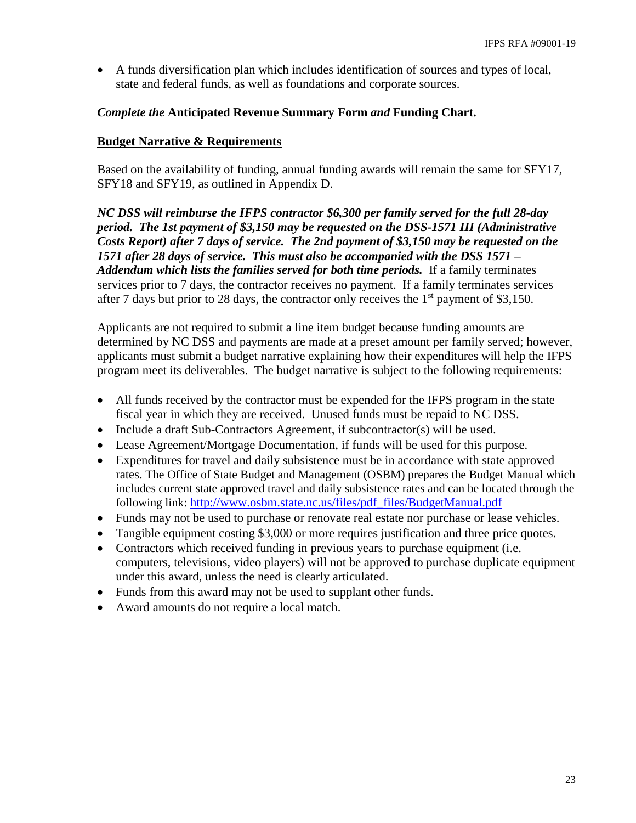A funds diversification plan which includes identification of sources and types of local, state and federal funds, as well as foundations and corporate sources.

#### *Complete the* **Anticipated Revenue Summary Form** *and* **Funding Chart.**

#### **Budget Narrative & Requirements**

Based on the availability of funding, annual funding awards will remain the same for SFY17, SFY18 and SFY19, as outlined in Appendix D.

*NC DSS will reimburse the IFPS contractor \$6,300 per family served for the full 28-day period. The 1st payment of \$3,150 may be requested on the DSS-1571 III (Administrative Costs Report) after 7 days of service. The 2nd payment of \$3,150 may be requested on the 1571 after 28 days of service. This must also be accompanied with the DSS 1571 –* Addendum which lists the families served for both time periods. If a family terminates services prior to 7 days, the contractor receives no payment. If a family terminates services after 7 days but prior to 28 days, the contractor only receives the  $1<sup>st</sup>$  payment of \$3,150.

Applicants are not required to submit a line item budget because funding amounts are determined by NC DSS and payments are made at a preset amount per family served; however, applicants must submit a budget narrative explaining how their expenditures will help the IFPS program meet its deliverables. The budget narrative is subject to the following requirements:

- All funds received by the contractor must be expended for the IFPS program in the state fiscal year in which they are received. Unused funds must be repaid to NC DSS.
- Include a draft Sub-Contractors Agreement, if subcontractor(s) will be used.
- Lease Agreement/Mortgage Documentation, if funds will be used for this purpose.
- Expenditures for travel and daily subsistence must be in accordance with state approved rates. The Office of State Budget and Management (OSBM) prepares the Budget Manual which includes current state approved travel and daily subsistence rates and can be located through the following link: [http://www.osbm.state.nc.us/files/pdf\\_files/BudgetManual.pdf](http://www.osbm.state.nc.us/files/pdf_files/BudgetManual.pdf)
- Funds may not be used to purchase or renovate real estate nor purchase or lease vehicles.
- Tangible equipment costing \$3,000 or more requires justification and three price quotes.
- Contractors which received funding in previous years to purchase equipment (i.e. computers, televisions, video players) will not be approved to purchase duplicate equipment under this award, unless the need is clearly articulated.
- Funds from this award may not be used to supplant other funds.
- Award amounts do not require a local match.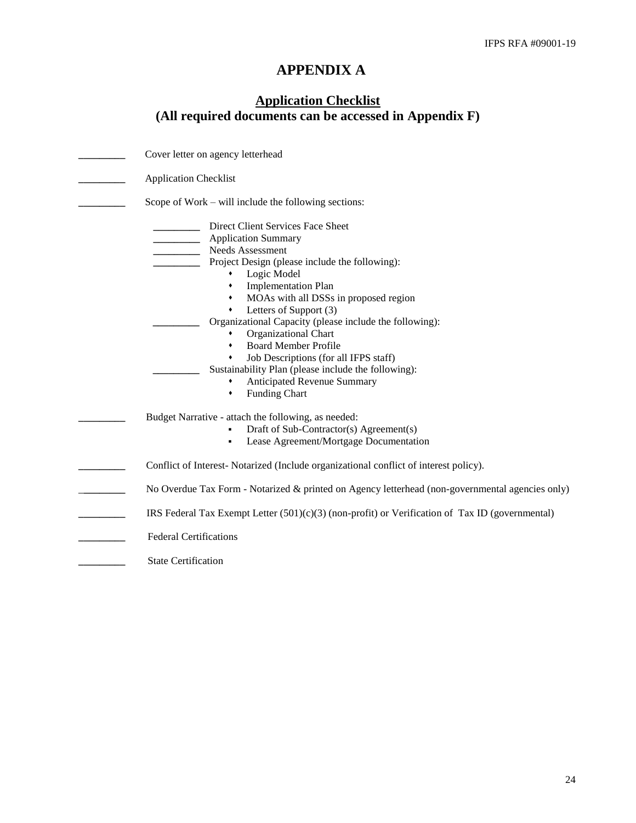# **APPENDIX A**

# **Application Checklist (All required documents can be accessed in Appendix F)**

| Cover letter on agency letterhead                                                                                                                                                                                                                                                                                                                                                                                                                                                                                                                                          |
|----------------------------------------------------------------------------------------------------------------------------------------------------------------------------------------------------------------------------------------------------------------------------------------------------------------------------------------------------------------------------------------------------------------------------------------------------------------------------------------------------------------------------------------------------------------------------|
| <b>Application Checklist</b>                                                                                                                                                                                                                                                                                                                                                                                                                                                                                                                                               |
| Scope of Work – will include the following sections:                                                                                                                                                                                                                                                                                                                                                                                                                                                                                                                       |
| Direct Client Services Face Sheet<br><b>Application Summary</b><br>Needs Assessment<br>Project Design (please include the following):<br>Logic Model<br><b>Implementation Plan</b><br>٠<br>• MOAs with all DSSs in proposed region<br>Letters of Support (3)<br>٠<br>Organizational Capacity (please include the following):<br>Organizational Chart<br>٠<br><b>Board Member Profile</b><br>٠<br>Job Descriptions (for all IFPS staff)<br>٠<br>Sustainability Plan (please include the following):<br><b>Anticipated Revenue Summary</b><br>٠<br><b>Funding Chart</b><br>٠ |
| Budget Narrative - attach the following, as needed:<br>Draft of Sub-Contractor(s) Agreement(s)<br>Lease Agreement/Mortgage Documentation<br>٠                                                                                                                                                                                                                                                                                                                                                                                                                              |
| Conflict of Interest-Notarized (Include organizational conflict of interest policy).                                                                                                                                                                                                                                                                                                                                                                                                                                                                                       |
| No Overdue Tax Form - Notarized & printed on Agency letterhead (non-governmental agencies only)                                                                                                                                                                                                                                                                                                                                                                                                                                                                            |
| IRS Federal Tax Exempt Letter $(501)(c)(3)$ (non-profit) or Verification of Tax ID (governmental)                                                                                                                                                                                                                                                                                                                                                                                                                                                                          |
| <b>Federal Certifications</b>                                                                                                                                                                                                                                                                                                                                                                                                                                                                                                                                              |
| <b>State Certification</b>                                                                                                                                                                                                                                                                                                                                                                                                                                                                                                                                                 |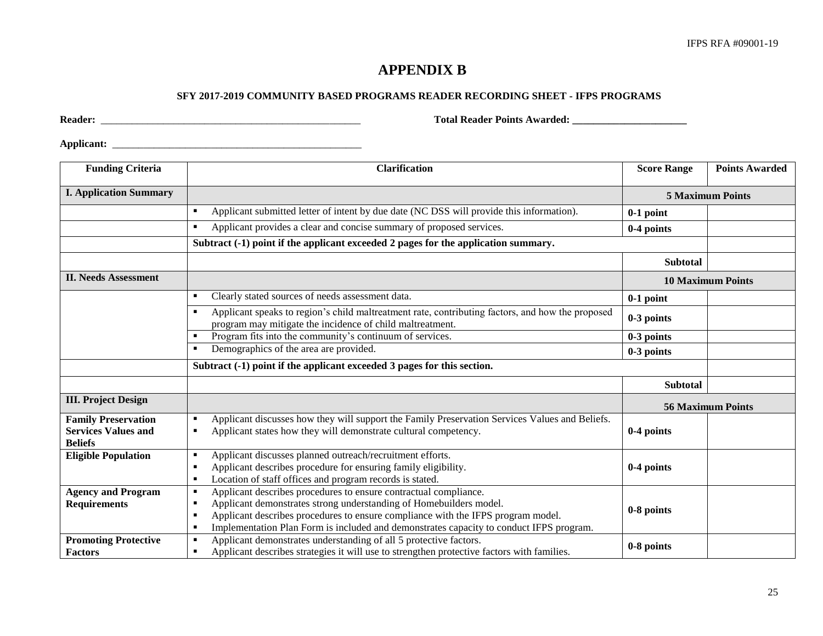# **APPENDIX B**

#### **SFY 2017-2019 COMMUNITY BASED PROGRAMS READER RECORDING SHEET - IFPS PROGRAMS**

,我们也不会有什么。""我们的人,我们也不会有什么?""我们的人,我们也不会有什么?""我们的人,我们的人,我们的人,我们的人,我们的人,我们的人,我们的人,我

**Reader:** \_\_\_\_\_\_\_\_\_\_\_\_\_\_\_\_\_\_\_\_\_\_\_\_\_\_\_\_\_\_\_\_\_\_\_\_\_\_\_\_\_\_\_\_\_\_\_\_\_\_ **Total Reader Points Awarded: \_\_\_\_\_\_\_\_\_\_\_\_\_\_\_\_\_\_\_\_\_\_**

**Applicant:** \_\_\_\_\_\_\_\_\_\_\_\_\_\_\_\_\_\_\_\_\_\_\_\_\_\_\_\_\_\_\_\_\_\_\_\_\_\_\_\_\_\_\_\_\_\_\_\_

| <b>Funding Criteria</b>                                                    | <b>Clarification</b>                                                                                                                                                                                                                                                                                                       | <b>Score Range</b> | <b>Points Awarded</b>    |
|----------------------------------------------------------------------------|----------------------------------------------------------------------------------------------------------------------------------------------------------------------------------------------------------------------------------------------------------------------------------------------------------------------------|--------------------|--------------------------|
| <b>I. Application Summary</b>                                              |                                                                                                                                                                                                                                                                                                                            |                    | <b>5 Maximum Points</b>  |
|                                                                            | Applicant submitted letter of intent by due date (NC DSS will provide this information).                                                                                                                                                                                                                                   | $0-1$ point        |                          |
|                                                                            | Applicant provides a clear and concise summary of proposed services.                                                                                                                                                                                                                                                       | 0-4 points         |                          |
|                                                                            | Subtract (-1) point if the applicant exceeded 2 pages for the application summary.                                                                                                                                                                                                                                         |                    |                          |
|                                                                            |                                                                                                                                                                                                                                                                                                                            | <b>Subtotal</b>    |                          |
| <b>II. Needs Assessment</b>                                                |                                                                                                                                                                                                                                                                                                                            |                    | <b>10 Maximum Points</b> |
|                                                                            | Clearly stated sources of needs assessment data.                                                                                                                                                                                                                                                                           | $0-1$ point        |                          |
|                                                                            | Applicant speaks to region's child maltreatment rate, contributing factors, and how the proposed<br>$\blacksquare$<br>program may mitigate the incidence of child maltreatment.                                                                                                                                            | 0-3 points         |                          |
|                                                                            | Program fits into the community's continuum of services.                                                                                                                                                                                                                                                                   | 0-3 points         |                          |
|                                                                            | Demographics of the area are provided.                                                                                                                                                                                                                                                                                     | 0-3 points         |                          |
|                                                                            | Subtract (-1) point if the applicant exceeded 3 pages for this section.                                                                                                                                                                                                                                                    |                    |                          |
|                                                                            |                                                                                                                                                                                                                                                                                                                            | <b>Subtotal</b>    |                          |
| <b>III. Project Design</b>                                                 |                                                                                                                                                                                                                                                                                                                            |                    | <b>56 Maximum Points</b> |
| <b>Family Preservation</b><br><b>Services Values and</b><br><b>Beliefs</b> | Applicant discusses how they will support the Family Preservation Services Values and Beliefs.<br>Applicant states how they will demonstrate cultural competency.                                                                                                                                                          | 0-4 points         |                          |
| <b>Eligible Population</b>                                                 | Applicant discusses planned outreach/recruitment efforts.<br>٠<br>Applicant describes procedure for ensuring family eligibility.<br>Location of staff offices and program records is stated.<br>٠                                                                                                                          | 0-4 points         |                          |
| <b>Agency and Program</b><br><b>Requirements</b>                           | Applicant describes procedures to ensure contractual compliance.<br>٠<br>Applicant demonstrates strong understanding of Homebuilders model.<br>Applicant describes procedures to ensure compliance with the IFPS program model.<br>Implementation Plan Form is included and demonstrates capacity to conduct IFPS program. | 0-8 points         |                          |
| <b>Promoting Protective</b><br><b>Factors</b>                              | Applicant demonstrates understanding of all 5 protective factors.<br>٠<br>Applicant describes strategies it will use to strengthen protective factors with families.<br>٠                                                                                                                                                  | 0-8 points         |                          |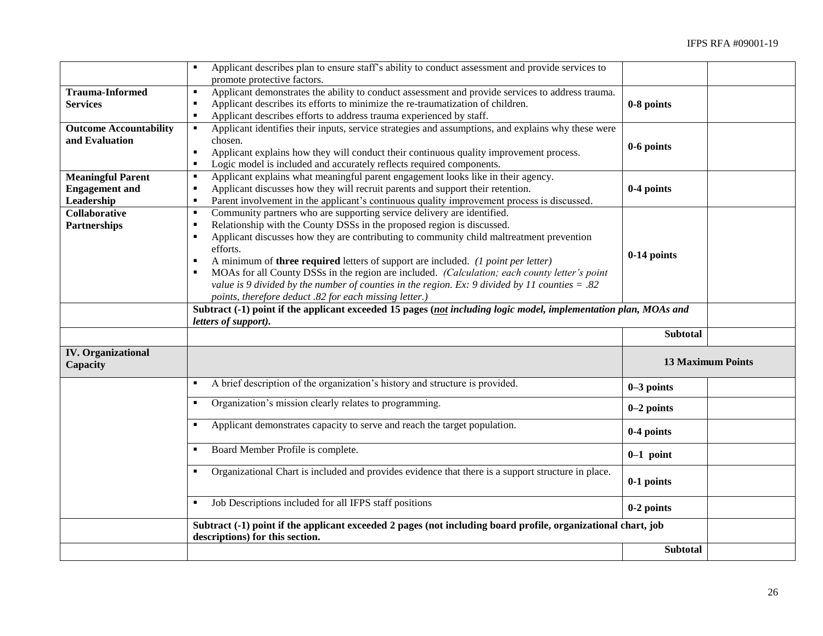|                                       | Applicant describes plan to ensure staff's ability to conduct assessment and provide services to                                                 |                          |  |
|---------------------------------------|--------------------------------------------------------------------------------------------------------------------------------------------------|--------------------------|--|
|                                       | promote protective factors.                                                                                                                      |                          |  |
| <b>Trauma-Informed</b>                | Applicant demonstrates the ability to conduct assessment and provide services to address trauma.<br>$\blacksquare$                               |                          |  |
| <b>Services</b>                       | Applicant describes its efforts to minimize the re-traumatization of children.<br>$\blacksquare$                                                 | 0-8 points               |  |
|                                       | Applicant describes efforts to address trauma experienced by staff.<br>$\blacksquare$                                                            |                          |  |
| <b>Outcome Accountability</b>         | Applicant identifies their inputs, service strategies and assumptions, and explains why these were                                               |                          |  |
| and Evaluation                        | chosen.                                                                                                                                          | 0-6 points               |  |
|                                       | Applicant explains how they will conduct their continuous quality improvement process.<br>$\blacksquare$                                         |                          |  |
|                                       | Logic model is included and accurately reflects required components.<br>$\blacksquare$                                                           |                          |  |
| <b>Meaningful Parent</b>              | Applicant explains what meaningful parent engagement looks like in their agency.<br>п                                                            |                          |  |
| <b>Engagement</b> and                 | Applicant discusses how they will recruit parents and support their retention.                                                                   | 0-4 points               |  |
| Leadership                            | Parent involvement in the applicant's continuous quality improvement process is discussed.<br>$\blacksquare$                                     |                          |  |
| <b>Collaborative</b>                  | Community partners who are supporting service delivery are identified.<br>$\blacksquare$                                                         |                          |  |
| <b>Partnerships</b>                   | Relationship with the County DSSs in the proposed region is discussed.<br>$\blacksquare$                                                         |                          |  |
|                                       | Applicant discusses how they are contributing to community child maltreatment prevention                                                         |                          |  |
|                                       | efforts.                                                                                                                                         | 0-14 points              |  |
|                                       | A minimum of <b>three required</b> letters of support are included. ( <i>l point per letter</i> )<br>$\blacksquare$                              |                          |  |
|                                       | MOAs for all County DSSs in the region are included. (Calculation; each county letter's point                                                    |                          |  |
|                                       | value is 9 divided by the number of counties in the region. Ex: 9 divided by 11 counties = .82                                                   |                          |  |
|                                       | points, therefore deduct .82 for each missing letter.)                                                                                           |                          |  |
|                                       | Subtract (-1) point if the applicant exceeded 15 pages (not including logic model, implementation plan, MOAs and                                 |                          |  |
|                                       |                                                                                                                                                  |                          |  |
|                                       | letters of support).                                                                                                                             |                          |  |
|                                       |                                                                                                                                                  | <b>Subtotal</b>          |  |
| <b>IV.</b> Organizational<br>Capacity |                                                                                                                                                  | <b>13 Maximum Points</b> |  |
|                                       | A brief description of the organization's history and structure is provided.<br>٠                                                                | $0-3$ points             |  |
|                                       | Organization's mission clearly relates to programming.                                                                                           | $0-2$ points             |  |
|                                       | Applicant demonstrates capacity to serve and reach the target population.                                                                        | 0-4 points               |  |
|                                       | Board Member Profile is complete.<br>٠                                                                                                           | $0-1$ point              |  |
|                                       | Organizational Chart is included and provides evidence that there is a support structure in place.                                               | 0-1 points               |  |
|                                       | Job Descriptions included for all IFPS staff positions<br>٠                                                                                      | 0-2 points               |  |
|                                       | Subtract (-1) point if the applicant exceeded 2 pages (not including board profile, organizational chart, job<br>descriptions) for this section. |                          |  |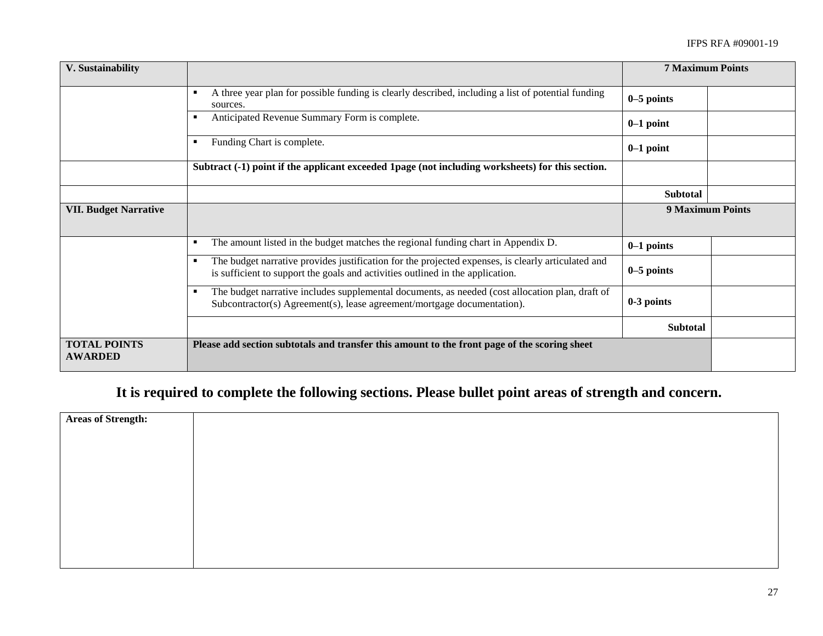| V. Sustainability                     |                                                                                                                                                                                      | <b>7 Maximum Points</b> |  |
|---------------------------------------|--------------------------------------------------------------------------------------------------------------------------------------------------------------------------------------|-------------------------|--|
|                                       | A three year plan for possible funding is clearly described, including a list of potential funding<br>sources.                                                                       | $0-5$ points            |  |
|                                       | Anticipated Revenue Summary Form is complete.                                                                                                                                        | $0-1$ point             |  |
|                                       | Funding Chart is complete.                                                                                                                                                           | $0-1$ point             |  |
|                                       | Subtract (-1) point if the applicant exceeded 1page (not including worksheets) for this section.                                                                                     |                         |  |
|                                       |                                                                                                                                                                                      | <b>Subtotal</b>         |  |
| <b>VII. Budget Narrative</b>          |                                                                                                                                                                                      | <b>9 Maximum Points</b> |  |
|                                       | The amount listed in the budget matches the regional funding chart in Appendix D.<br>٠                                                                                               | $0-1$ points            |  |
|                                       | The budget narrative provides justification for the projected expenses, is clearly articulated and<br>is sufficient to support the goals and activities outlined in the application. | $0-5$ points            |  |
|                                       | The budget narrative includes supplemental documents, as needed (cost allocation plan, draft of<br>Subcontractor(s) Agreement(s), lease agreement/mortgage documentation).           | 0-3 points              |  |
|                                       |                                                                                                                                                                                      | <b>Subtotal</b>         |  |
| <b>TOTAL POINTS</b><br><b>AWARDED</b> | Please add section subtotals and transfer this amount to the front page of the scoring sheet                                                                                         |                         |  |

# **It is required to complete the following sections. Please bullet point areas of strength and concern.**

| <b>Areas of Strength:</b> |  |
|---------------------------|--|
|                           |  |
|                           |  |
|                           |  |
|                           |  |
|                           |  |
|                           |  |
|                           |  |
|                           |  |
|                           |  |
|                           |  |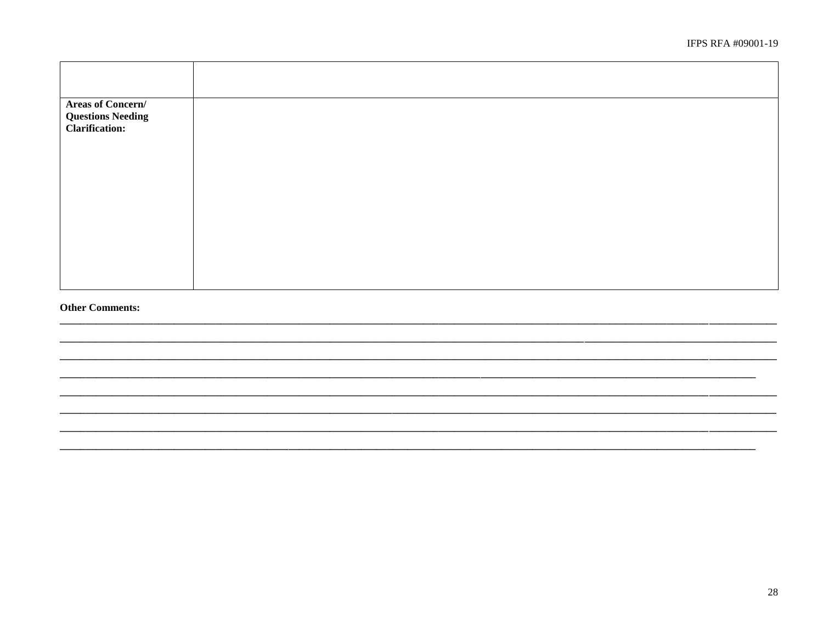| <b>Areas of Concern/</b><br><b>Questions Needing<br/>Clarification:</b> |  |
|-------------------------------------------------------------------------|--|
|                                                                         |  |
|                                                                         |  |
|                                                                         |  |
|                                                                         |  |

#### **Other Comments:**

 $\overline{\phantom{a}}$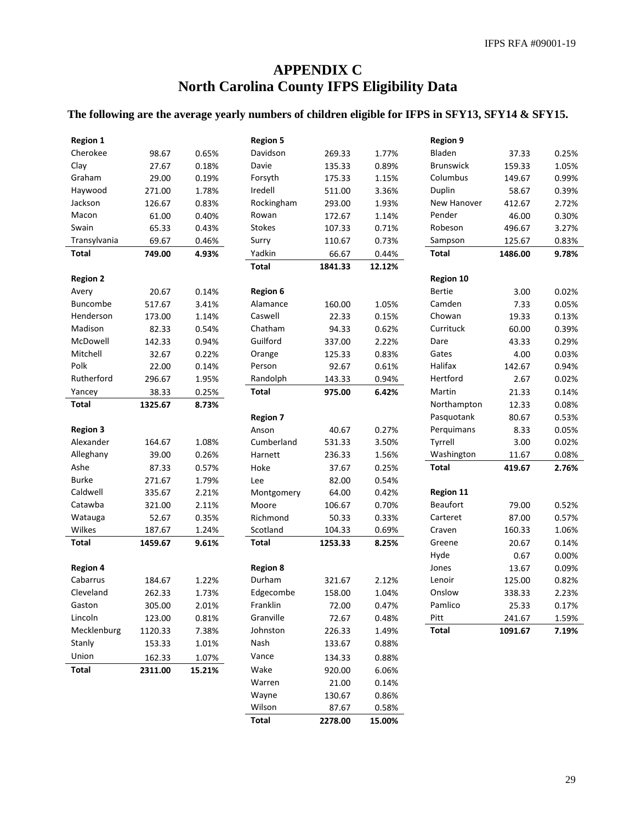# **APPENDIX C North Carolina County IFPS Eligibility Data**

## **The following are the average yearly numbers of children eligible for IFPS in SFY13, SFY14 & SFY15.**

| <b>Region 1</b> |         |        | <b>Region 5</b> |         |        | <b>Region 9</b>  |         |       |
|-----------------|---------|--------|-----------------|---------|--------|------------------|---------|-------|
| Cherokee        | 98.67   | 0.65%  | Davidson        | 269.33  | 1.77%  | Bladen           | 37.33   | 0.25% |
| Clay            | 27.67   | 0.18%  | Davie           | 135.33  | 0.89%  | <b>Brunswick</b> | 159.33  | 1.05% |
| Graham          | 29.00   | 0.19%  | Forsyth         | 175.33  | 1.15%  | Columbus         | 149.67  | 0.99% |
| Haywood         | 271.00  | 1.78%  | Iredell         | 511.00  | 3.36%  | Duplin           | 58.67   | 0.39% |
| Jackson         | 126.67  | 0.83%  | Rockingham      | 293.00  | 1.93%  | New Hanover      | 412.67  | 2.72% |
| Macon           | 61.00   | 0.40%  | Rowan           | 172.67  | 1.14%  | Pender           | 46.00   | 0.30% |
| Swain           | 65.33   | 0.43%  | <b>Stokes</b>   | 107.33  | 0.71%  | Robeson          | 496.67  | 3.27% |
| Transylvania    | 69.67   | 0.46%  | Surry           | 110.67  | 0.73%  | Sampson          | 125.67  | 0.83% |
| <b>Total</b>    | 749.00  | 4.93%  | Yadkin          | 66.67   | 0.44%  | Total            | 1486.00 | 9.78% |
|                 |         |        | <b>Total</b>    | 1841.33 | 12.12% |                  |         |       |
| <b>Region 2</b> |         |        |                 |         |        | <b>Region 10</b> |         |       |
| Avery           | 20.67   | 0.14%  | <b>Region 6</b> |         |        | <b>Bertie</b>    | 3.00    | 0.02% |
| <b>Buncombe</b> | 517.67  | 3.41%  | Alamance        | 160.00  | 1.05%  | Camden           | 7.33    | 0.05% |
| Henderson       | 173.00  | 1.14%  | Caswell         | 22.33   | 0.15%  | Chowan           | 19.33   | 0.13% |
| Madison         | 82.33   | 0.54%  | Chatham         | 94.33   | 0.62%  | Currituck        | 60.00   | 0.39% |
| McDowell        | 142.33  | 0.94%  | Guilford        | 337.00  | 2.22%  | Dare             | 43.33   | 0.29% |
| Mitchell        | 32.67   | 0.22%  | Orange          | 125.33  | 0.83%  | Gates            | 4.00    | 0.03% |
| Polk            | 22.00   | 0.14%  | Person          | 92.67   | 0.61%  | Halifax          | 142.67  | 0.94% |
| Rutherford      | 296.67  | 1.95%  | Randolph        | 143.33  | 0.94%  | Hertford         | 2.67    | 0.02% |
| Yancey          | 38.33   | 0.25%  | <b>Total</b>    | 975.00  | 6.42%  | Martin           | 21.33   | 0.14% |
| <b>Total</b>    | 1325.67 | 8.73%  |                 |         |        | Northampton      | 12.33   | 0.08% |
|                 |         |        | <b>Region 7</b> |         |        | Pasquotank       | 80.67   | 0.53% |
| <b>Region 3</b> |         |        | Anson           | 40.67   | 0.27%  | Perquimans       | 8.33    | 0.05% |
| Alexander       | 164.67  | 1.08%  | Cumberland      | 531.33  | 3.50%  | Tyrrell          | 3.00    | 0.02% |
| Alleghany       | 39.00   | 0.26%  | Harnett         | 236.33  | 1.56%  | Washington       | 11.67   | 0.08% |
| Ashe            | 87.33   | 0.57%  | Hoke            | 37.67   | 0.25%  | <b>Total</b>     | 419.67  | 2.76% |
| <b>Burke</b>    | 271.67  | 1.79%  | Lee             | 82.00   | 0.54%  |                  |         |       |
| Caldwell        | 335.67  | 2.21%  | Montgomery      | 64.00   | 0.42%  | <b>Region 11</b> |         |       |
| Catawba         | 321.00  | 2.11%  | Moore           | 106.67  | 0.70%  | <b>Beaufort</b>  | 79.00   | 0.52% |
| Watauga         | 52.67   | 0.35%  | Richmond        | 50.33   | 0.33%  | Carteret         | 87.00   | 0.57% |
| Wilkes          | 187.67  | 1.24%  | Scotland        | 104.33  | 0.69%  | Craven           | 160.33  | 1.06% |
| <b>Total</b>    | 1459.67 | 9.61%  | <b>Total</b>    | 1253.33 | 8.25%  | Greene           | 20.67   | 0.14% |
|                 |         |        |                 |         |        | Hyde             | 0.67    | 0.00% |
| <b>Region 4</b> |         |        | <b>Region 8</b> |         |        | Jones            | 13.67   | 0.09% |
| Cabarrus        | 184.67  | 1.22%  | Durham          | 321.67  | 2.12%  | Lenoir           | 125.00  | 0.82% |
| Cleveland       | 262.33  | 1.73%  | Edgecombe       | 158.00  | 1.04%  | Onslow           | 338.33  | 2.23% |
| Gaston          | 305.00  | 2.01%  | Franklin        | 72.00   | 0.47%  | Pamlico          | 25.33   | 0.17% |
| Lincoln         | 123.00  | 0.81%  | Granville       | 72.67   | 0.48%  | Pitt             | 241.67  | 1.59% |
| Mecklenburg     | 1120.33 | 7.38%  | Johnston        | 226.33  | 1.49%  | Total            | 1091.67 | 7.19% |
| Stanly          | 153.33  | 1.01%  | Nash            | 133.67  | 0.88%  |                  |         |       |
| Union           | 162.33  | 1.07%  | Vance           | 134.33  | 0.88%  |                  |         |       |
| <b>Total</b>    | 2311.00 | 15.21% | Wake            | 920.00  | 6.06%  |                  |         |       |
|                 |         |        | Warren          | 21.00   | 0.14%  |                  |         |       |
|                 |         |        | Wayne           | 130.67  | 0.86%  |                  |         |       |
|                 |         |        | Wilson          | 87.67   | 0.58%  |                  |         |       |
|                 |         |        | <b>Total</b>    | 2278.00 | 15.00% |                  |         |       |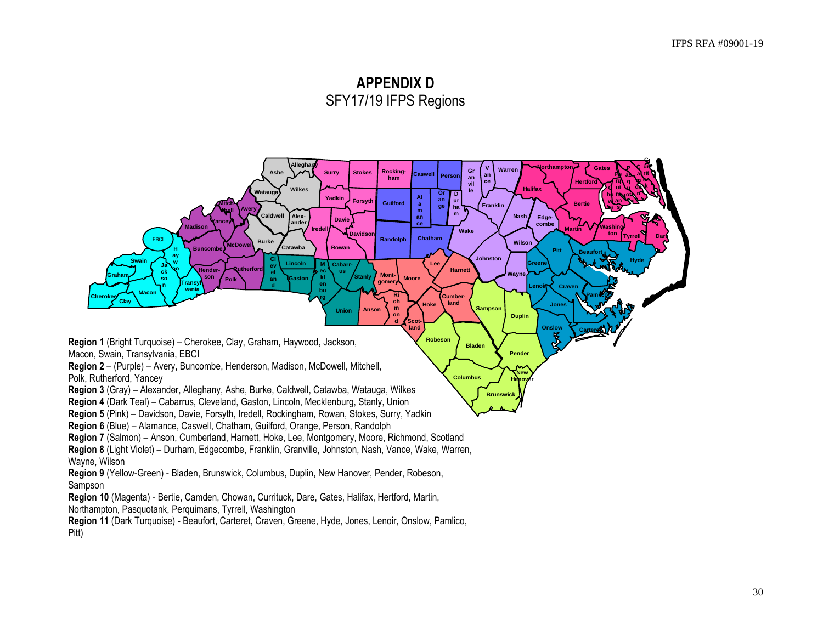# **APPENDIX D** SFY17/19 IFPS Regions

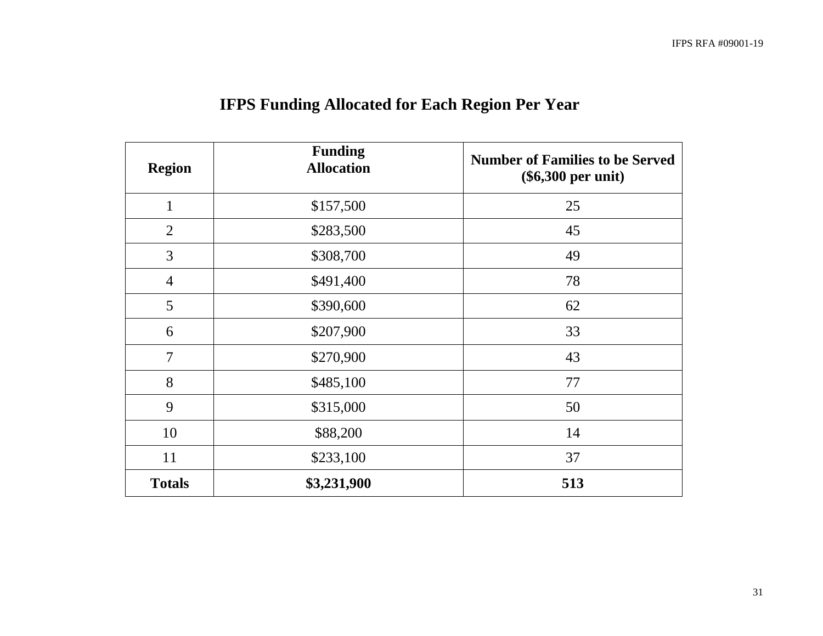| <b>Region</b>  | <b>Funding</b><br><b>Allocation</b> | <b>Number of Families to be Served</b><br>$(\$6,300$ per unit) |
|----------------|-------------------------------------|----------------------------------------------------------------|
| $\mathbf{1}$   | \$157,500                           | 25                                                             |
| $\overline{2}$ | \$283,500                           | 45                                                             |
| 3              | \$308,700                           | 49                                                             |
| $\overline{4}$ | \$491,400                           | 78                                                             |
| 5              | \$390,600                           | 62                                                             |
| 6              | \$207,900                           | 33                                                             |
| $\overline{7}$ | \$270,900                           | 43                                                             |
| 8              | \$485,100                           | 77                                                             |
| 9              | \$315,000                           | 50                                                             |
| 10             | \$88,200                            | 14                                                             |
| 11             | \$233,100                           | 37                                                             |
| <b>Totals</b>  | \$3,231,900                         | 513                                                            |

# **IFPS Funding Allocated for Each Region Per Year**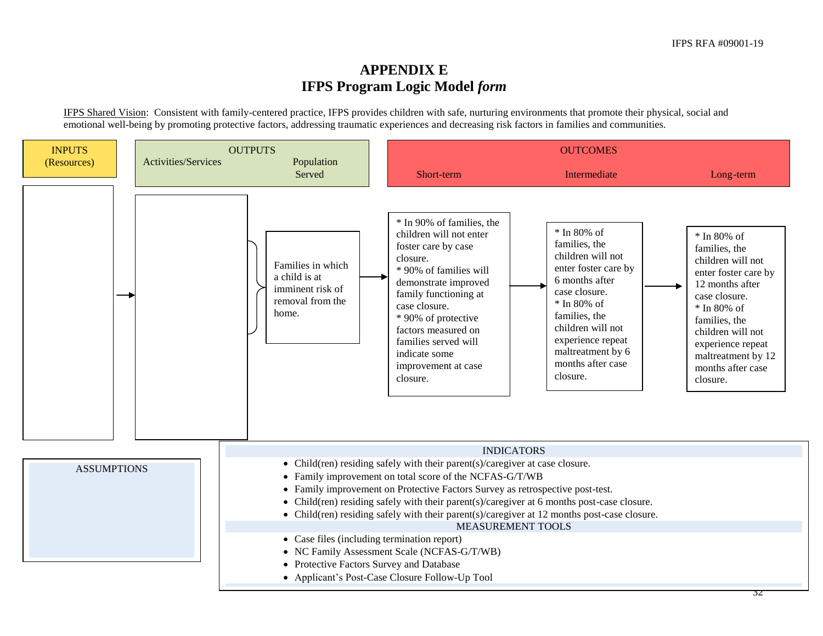# **APPENDIX E IFPS Program Logic Model** *form*

IFPS Shared Vision: Consistent with family-centered practice, IFPS provides children with safe, nurturing environments that promote their physical, social and emotional well-being by promoting protective factors, addressing traumatic experiences and decreasing risk factors in families and communities.

| <b>INPUTS</b><br>(Resources)                                                                                               | <b>Activities/Services</b> | <b>OUTPUTS</b><br>Population                                                        | <b>OUTCOMES</b>                                                                                                                                                                                                                                                                                                           |                                                                                                                                                                                                                                                |                                                                                                                                                                                                                                                |
|----------------------------------------------------------------------------------------------------------------------------|----------------------------|-------------------------------------------------------------------------------------|---------------------------------------------------------------------------------------------------------------------------------------------------------------------------------------------------------------------------------------------------------------------------------------------------------------------------|------------------------------------------------------------------------------------------------------------------------------------------------------------------------------------------------------------------------------------------------|------------------------------------------------------------------------------------------------------------------------------------------------------------------------------------------------------------------------------------------------|
|                                                                                                                            |                            | Served                                                                              | Short-term                                                                                                                                                                                                                                                                                                                | Intermediate                                                                                                                                                                                                                                   | Long-term                                                                                                                                                                                                                                      |
|                                                                                                                            |                            | Families in which<br>a child is at<br>imminent risk of<br>removal from the<br>home. | * In 90% of families, the<br>children will not enter<br>foster care by case<br>closure.<br>* 90% of families will<br>demonstrate improved<br>family functioning at<br>case closure.<br>* 90% of protective<br>factors measured on<br>families served will<br>indicate some<br>improvement at case<br>closure.             | * In 80% of<br>families, the<br>children will not<br>enter foster care by<br>6 months after<br>case closure.<br>$*$ In 80% of<br>families, the<br>children will not<br>experience repeat<br>maltreatment by 6<br>months after case<br>closure. | * In 80% of<br>families, the<br>children will not<br>enter foster care by<br>12 months after<br>case closure.<br>* In 80% of<br>families, the<br>children will not<br>experience repeat<br>maltreatment by 12<br>months after case<br>closure. |
| <b>ASSUMPTIONS</b><br>$\bullet$<br>• Case files (including termination report)<br>• Protective Factors Survey and Database |                            |                                                                                     | • Child(ren) residing safely with their parent(s)/caregiver at case closure.<br>• Family improvement on total score of the NCFAS-G/T/WB<br>• Family improvement on Protective Factors Survey as retrospective post-test.<br>• NC Family Assessment Scale (NCFAS-G/T/WB)<br>• Applicant's Post-Case Closure Follow-Up Tool | <b>INDICATORS</b><br>Child(ren) residing safely with their parent(s)/caregiver at 6 months post-case closure.<br>• Child(ren) residing safely with their parent(s)/caregiver at 12 months post-case closure.<br><b>MEASUREMENT TOOLS</b>       |                                                                                                                                                                                                                                                |